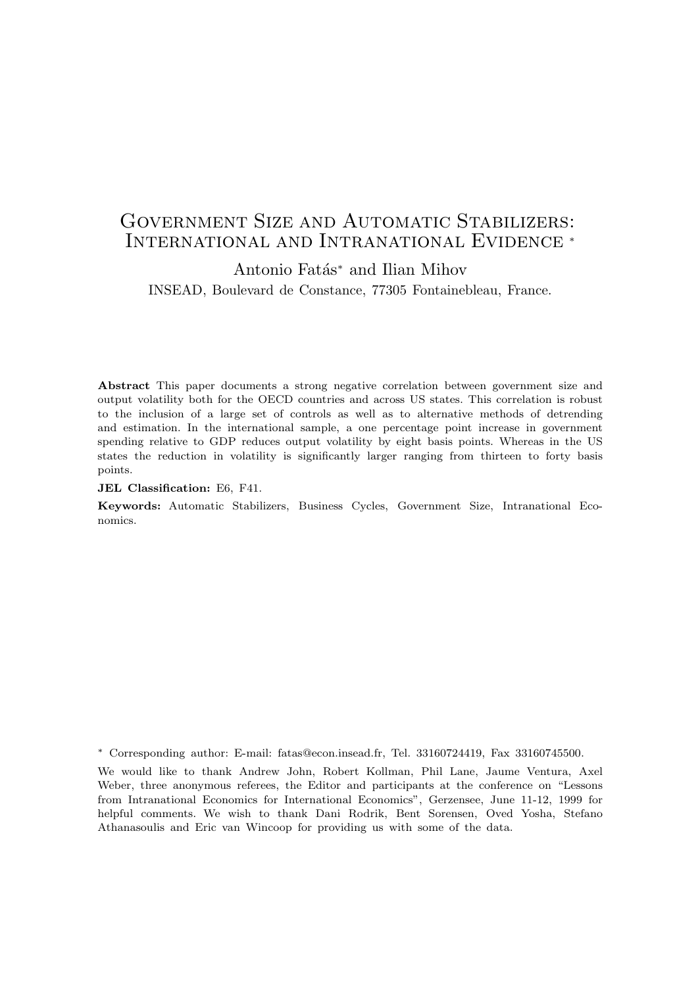# Government Size and Automatic Stabilizers: International and Intranational Evidence <sup>∗</sup>

Antonio Fatás<sup>∗</sup> and Ilian Mihov

INSEAD, Boulevard de Constance, 77305 Fontainebleau, France.

Abstract This paper documents a strong negative correlation between government size and output volatility both for the OECD countries and across US states. This correlation is robust to the inclusion of a large set of controls as well as to alternative methods of detrending and estimation. In the international sample, a one percentage point increase in government spending relative to GDP reduces output volatility by eight basis points. Whereas in the US states the reduction in volatility is significantly larger ranging from thirteen to forty basis points.

#### JEL Classification: E6, F41.

Keywords: Automatic Stabilizers, Business Cycles, Government Size, Intranational Economics.

<sup>∗</sup> Corresponding author: E-mail: fatas@econ.insead.fr, Tel. 33160724419, Fax 33160745500.

We would like to thank Andrew John, Robert Kollman, Phil Lane, Jaume Ventura, Axel Weber, three anonymous referees, the Editor and participants at the conference on "Lessons from Intranational Economics for International Economics", Gerzensee, June 11-12, 1999 for helpful comments. We wish to thank Dani Rodrik, Bent Sorensen, Oved Yosha, Stefano Athanasoulis and Eric van Wincoop for providing us with some of the data.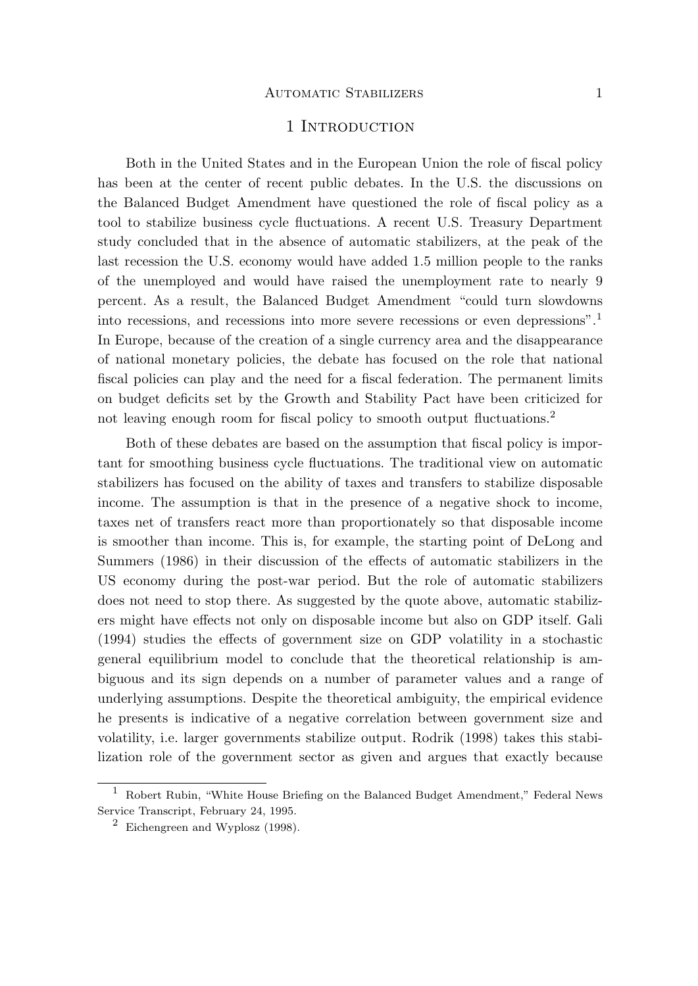# 1 INTRODUCTION

Both in the United States and in the European Union the role of fiscal policy has been at the center of recent public debates. In the U.S. the discussions on the Balanced Budget Amendment have questioned the role of fiscal policy as a tool to stabilize business cycle fluctuations. A recent U.S. Treasury Department study concluded that in the absence of automatic stabilizers, at the peak of the last recession the U.S. economy would have added 1.5 million people to the ranks of the unemployed and would have raised the unemployment rate to nearly 9 percent. As a result, the Balanced Budget Amendment "could turn slowdowns into recessions, and recessions into more severe recessions or even depressions".<sup>1</sup> In Europe, because of the creation of a single currency area and the disappearance of national monetary policies, the debate has focused on the role that national fiscal policies can play and the need for a fiscal federation. The permanent limits on budget deficits set by the Growth and Stability Pact have been criticized for not leaving enough room for fiscal policy to smooth output fluctuations.<sup>2</sup>

Both of these debates are based on the assumption that fiscal policy is important for smoothing business cycle fluctuations. The traditional view on automatic stabilizers has focused on the ability of taxes and transfers to stabilize disposable income. The assumption is that in the presence of a negative shock to income, taxes net of transfers react more than proportionately so that disposable income is smoother than income. This is, for example, the starting point of DeLong and Summers (1986) in their discussion of the effects of automatic stabilizers in the US economy during the post-war period. But the role of automatic stabilizers does not need to stop there. As suggested by the quote above, automatic stabilizers might have effects not only on disposable income but also on GDP itself. Gali (1994) studies the effects of government size on GDP volatility in a stochastic general equilibrium model to conclude that the theoretical relationship is ambiguous and its sign depends on a number of parameter values and a range of underlying assumptions. Despite the theoretical ambiguity, the empirical evidence he presents is indicative of a negative correlation between government size and volatility, i.e. larger governments stabilize output. Rodrik (1998) takes this stabilization role of the government sector as given and argues that exactly because

<sup>&</sup>lt;sup>1</sup> Robert Rubin, "White House Briefing on the Balanced Budget Amendment," Federal News Service Transcript, February 24, 1995.

<sup>2</sup> Eichengreen and Wyplosz (1998).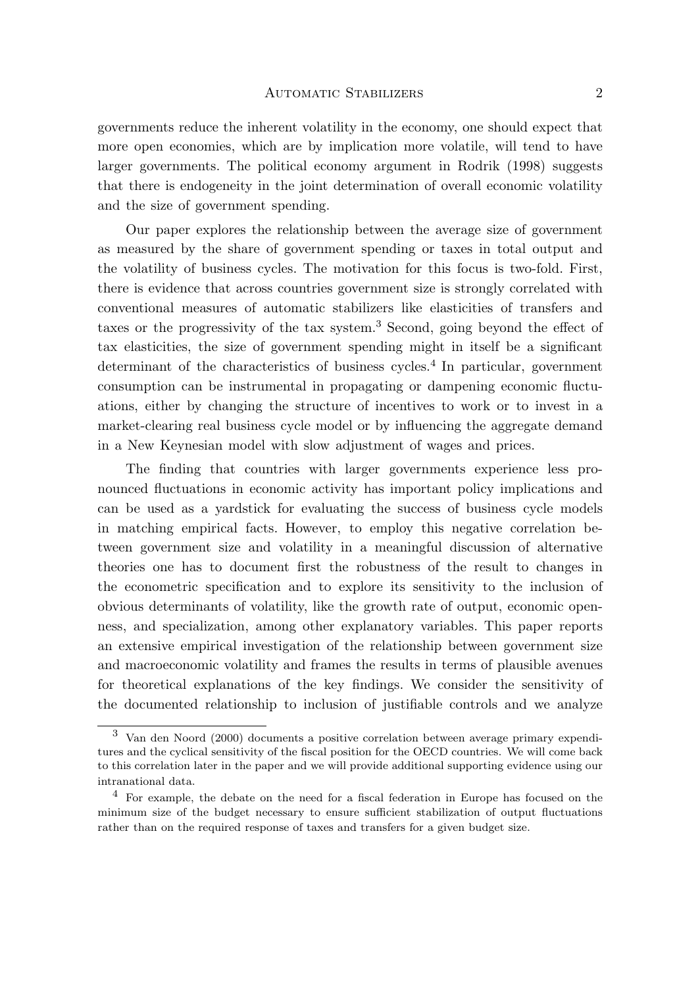governments reduce the inherent volatility in the economy, one should expect that more open economies, which are by implication more volatile, will tend to have larger governments. The political economy argument in Rodrik (1998) suggests that there is endogeneity in the joint determination of overall economic volatility and the size of government spending.

Our paper explores the relationship between the average size of government as measured by the share of government spending or taxes in total output and the volatility of business cycles. The motivation for this focus is two-fold. First, there is evidence that across countries government size is strongly correlated with conventional measures of automatic stabilizers like elasticities of transfers and taxes or the progressivity of the tax system.<sup>3</sup> Second, going beyond the effect of tax elasticities, the size of government spending might in itself be a significant determinant of the characteristics of business cycles.<sup>4</sup> In particular, government consumption can be instrumental in propagating or dampening economic fluctuations, either by changing the structure of incentives to work or to invest in a market-clearing real business cycle model or by influencing the aggregate demand in a New Keynesian model with slow adjustment of wages and prices.

The finding that countries with larger governments experience less pronounced fluctuations in economic activity has important policy implications and can be used as a yardstick for evaluating the success of business cycle models in matching empirical facts. However, to employ this negative correlation between government size and volatility in a meaningful discussion of alternative theories one has to document first the robustness of the result to changes in the econometric specification and to explore its sensitivity to the inclusion of obvious determinants of volatility, like the growth rate of output, economic openness, and specialization, among other explanatory variables. This paper reports an extensive empirical investigation of the relationship between government size and macroeconomic volatility and frames the results in terms of plausible avenues for theoretical explanations of the key findings. We consider the sensitivity of the documented relationship to inclusion of justifiable controls and we analyze

<sup>3</sup> Van den Noord (2000) documents a positive correlation between average primary expenditures and the cyclical sensitivity of the fiscal position for the OECD countries. We will come back to this correlation later in the paper and we will provide additional supporting evidence using our intranational data.

<sup>&</sup>lt;sup>4</sup> For example, the debate on the need for a fiscal federation in Europe has focused on the minimum size of the budget necessary to ensure sufficient stabilization of output fluctuations rather than on the required response of taxes and transfers for a given budget size.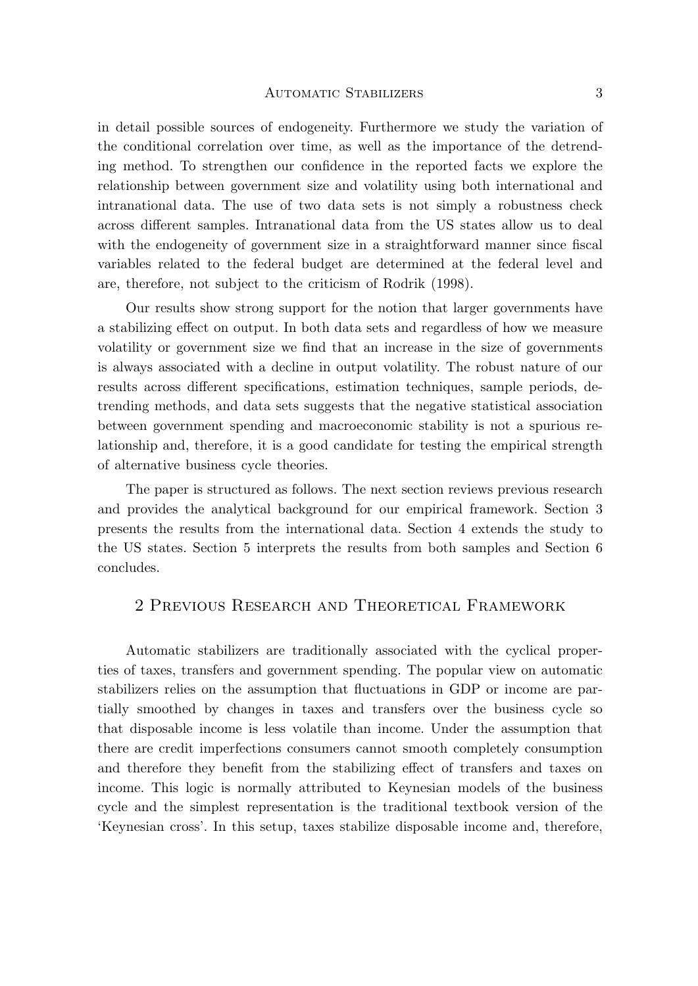in detail possible sources of endogeneity. Furthermore we study the variation of the conditional correlation over time, as well as the importance of the detrending method. To strengthen our confidence in the reported facts we explore the relationship between government size and volatility using both international and intranational data. The use of two data sets is not simply a robustness check across different samples. Intranational data from the US states allow us to deal with the endogeneity of government size in a straightforward manner since fiscal variables related to the federal budget are determined at the federal level and are, therefore, not subject to the criticism of Rodrik (1998).

Our results show strong support for the notion that larger governments have a stabilizing effect on output. In both data sets and regardless of how we measure volatility or government size we find that an increase in the size of governments is always associated with a decline in output volatility. The robust nature of our results across different specifications, estimation techniques, sample periods, detrending methods, and data sets suggests that the negative statistical association between government spending and macroeconomic stability is not a spurious relationship and, therefore, it is a good candidate for testing the empirical strength of alternative business cycle theories.

The paper is structured as follows. The next section reviews previous research and provides the analytical background for our empirical framework. Section 3 presents the results from the international data. Section 4 extends the study to the US states. Section 5 interprets the results from both samples and Section 6 concludes.

# 2 Previous Research and Theoretical Framework

Automatic stabilizers are traditionally associated with the cyclical properties of taxes, transfers and government spending. The popular view on automatic stabilizers relies on the assumption that fluctuations in GDP or income are partially smoothed by changes in taxes and transfers over the business cycle so that disposable income is less volatile than income. Under the assumption that there are credit imperfections consumers cannot smooth completely consumption and therefore they benefit from the stabilizing effect of transfers and taxes on income. This logic is normally attributed to Keynesian models of the business cycle and the simplest representation is the traditional textbook version of the 'Keynesian cross'. In this setup, taxes stabilize disposable income and, therefore,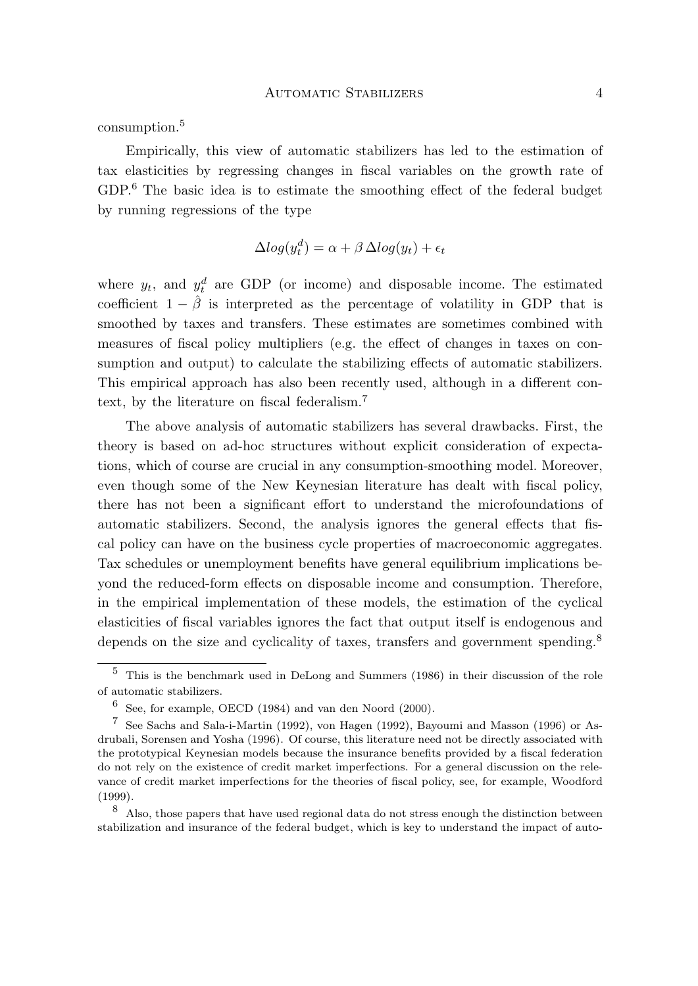consumption.<sup>5</sup>

Empirically, this view of automatic stabilizers has led to the estimation of tax elasticities by regressing changes in fiscal variables on the growth rate of GDP.<sup>6</sup> The basic idea is to estimate the smoothing effect of the federal budget by running regressions of the type

$$
\Delta log(y_t^d) = \alpha + \beta \Delta log(y_t) + \epsilon_t
$$

where  $y_t$ , and  $y_t^d$  are GDP (or income) and disposable income. The estimated coefficient  $1 - \hat{\beta}$  is interpreted as the percentage of volatility in GDP that is smoothed by taxes and transfers. These estimates are sometimes combined with measures of fiscal policy multipliers (e.g. the effect of changes in taxes on consumption and output) to calculate the stabilizing effects of automatic stabilizers. This empirical approach has also been recently used, although in a different context, by the literature on fiscal federalism.<sup>7</sup>

The above analysis of automatic stabilizers has several drawbacks. First, the theory is based on ad-hoc structures without explicit consideration of expectations, which of course are crucial in any consumption-smoothing model. Moreover, even though some of the New Keynesian literature has dealt with fiscal policy, there has not been a significant effort to understand the microfoundations of automatic stabilizers. Second, the analysis ignores the general effects that fiscal policy can have on the business cycle properties of macroeconomic aggregates. Tax schedules or unemployment benefits have general equilibrium implications beyond the reduced-form effects on disposable income and consumption. Therefore, in the empirical implementation of these models, the estimation of the cyclical elasticities of fiscal variables ignores the fact that output itself is endogenous and depends on the size and cyclicality of taxes, transfers and government spending.<sup>8</sup>

<sup>5</sup> This is the benchmark used in DeLong and Summers (1986) in their discussion of the role of automatic stabilizers.

<sup>6</sup> See, for example, OECD (1984) and van den Noord (2000).

<sup>7</sup> See Sachs and Sala-i-Martin (1992), von Hagen (1992), Bayoumi and Masson (1996) or Asdrubali, Sorensen and Yosha (1996). Of course, this literature need not be directly associated with the prototypical Keynesian models because the insurance benefits provided by a fiscal federation do not rely on the existence of credit market imperfections. For a general discussion on the relevance of credit market imperfections for the theories of fiscal policy, see, for example, Woodford (1999).

<sup>8</sup> Also, those papers that have used regional data do not stress enough the distinction between stabilization and insurance of the federal budget, which is key to understand the impact of auto-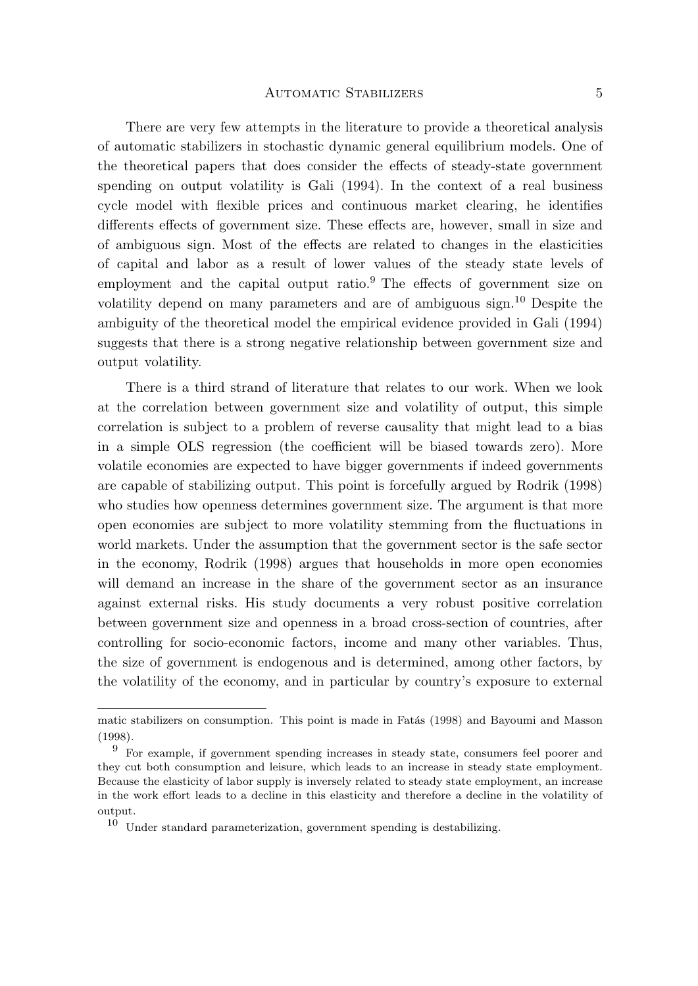There are very few attempts in the literature to provide a theoretical analysis of automatic stabilizers in stochastic dynamic general equilibrium models. One of the theoretical papers that does consider the effects of steady-state government spending on output volatility is Gali (1994). In the context of a real business cycle model with flexible prices and continuous market clearing, he identifies differents effects of government size. These effects are, however, small in size and of ambiguous sign. Most of the effects are related to changes in the elasticities of capital and labor as a result of lower values of the steady state levels of employment and the capital output ratio.<sup>9</sup> The effects of government size on volatility depend on many parameters and are of ambiguous sign.<sup>10</sup> Despite the ambiguity of the theoretical model the empirical evidence provided in Gali (1994) suggests that there is a strong negative relationship between government size and output volatility.

There is a third strand of literature that relates to our work. When we look at the correlation between government size and volatility of output, this simple correlation is subject to a problem of reverse causality that might lead to a bias in a simple OLS regression (the coefficient will be biased towards zero). More volatile economies are expected to have bigger governments if indeed governments are capable of stabilizing output. This point is forcefully argued by Rodrik (1998) who studies how openness determines government size. The argument is that more open economies are subject to more volatility stemming from the fluctuations in world markets. Under the assumption that the government sector is the safe sector in the economy, Rodrik (1998) argues that households in more open economies will demand an increase in the share of the government sector as an insurance against external risks. His study documents a very robust positive correlation between government size and openness in a broad cross-section of countries, after controlling for socio-economic factors, income and many other variables. Thus, the size of government is endogenous and is determined, among other factors, by the volatility of the economy, and in particular by country's exposure to external

matic stabilizers on consumption. This point is made in Fatás (1998) and Bayoumi and Masson (1998).

<sup>&</sup>lt;sup>9</sup> For example, if government spending increases in steady state, consumers feel poorer and they cut both consumption and leisure, which leads to an increase in steady state employment. Because the elasticity of labor supply is inversely related to steady state employment, an increase in the work effort leads to a decline in this elasticity and therefore a decline in the volatility of output.

 $^{10}\,$  Under standard parameterization, government spending is destabilizing.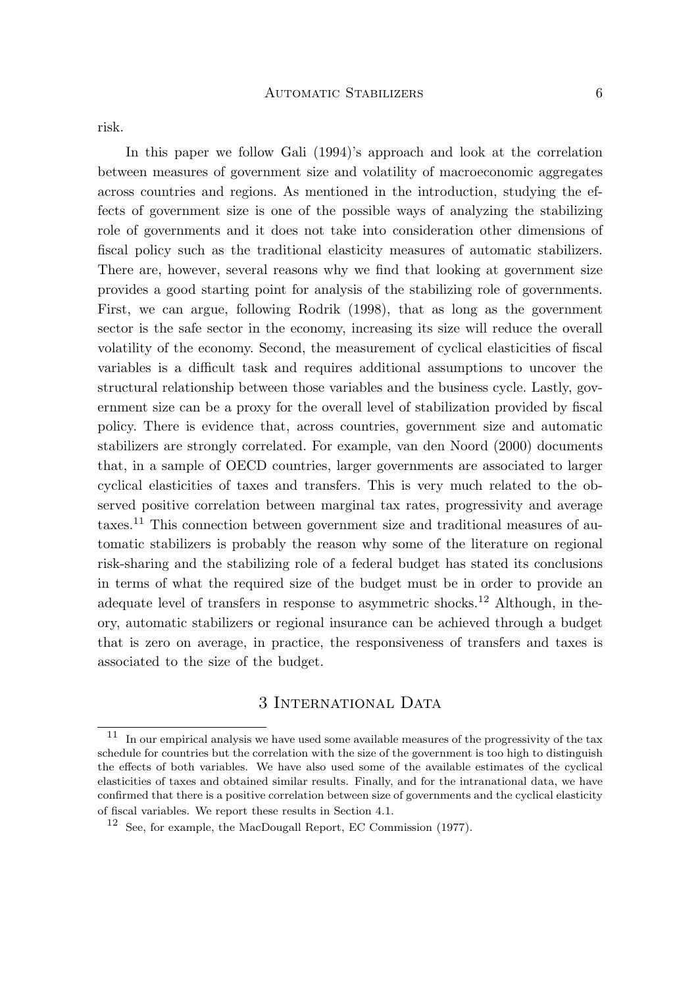risk.

In this paper we follow Gali (1994)'s approach and look at the correlation between measures of government size and volatility of macroeconomic aggregates across countries and regions. As mentioned in the introduction, studying the effects of government size is one of the possible ways of analyzing the stabilizing role of governments and it does not take into consideration other dimensions of fiscal policy such as the traditional elasticity measures of automatic stabilizers. There are, however, several reasons why we find that looking at government size provides a good starting point for analysis of the stabilizing role of governments. First, we can argue, following Rodrik (1998), that as long as the government sector is the safe sector in the economy, increasing its size will reduce the overall volatility of the economy. Second, the measurement of cyclical elasticities of fiscal variables is a difficult task and requires additional assumptions to uncover the structural relationship between those variables and the business cycle. Lastly, government size can be a proxy for the overall level of stabilization provided by fiscal policy. There is evidence that, across countries, government size and automatic stabilizers are strongly correlated. For example, van den Noord (2000) documents that, in a sample of OECD countries, larger governments are associated to larger cyclical elasticities of taxes and transfers. This is very much related to the observed positive correlation between marginal tax rates, progressivity and average taxes.<sup>11</sup> This connection between government size and traditional measures of automatic stabilizers is probably the reason why some of the literature on regional risk-sharing and the stabilizing role of a federal budget has stated its conclusions in terms of what the required size of the budget must be in order to provide an adequate level of transfers in response to asymmetric shocks.<sup>12</sup> Although, in theory, automatic stabilizers or regional insurance can be achieved through a budget that is zero on average, in practice, the responsiveness of transfers and taxes is associated to the size of the budget.

# 3 International Data

<sup>11</sup> In our empirical analysis we have used some available measures of the progressivity of the tax schedule for countries but the correlation with the size of the government is too high to distinguish the effects of both variables. We have also used some of the available estimates of the cyclical elasticities of taxes and obtained similar results. Finally, and for the intranational data, we have confirmed that there is a positive correlation between size of governments and the cyclical elasticity of fiscal variables. We report these results in Section 4.1.

<sup>12</sup> See, for example, the MacDougall Report, EC Commission (1977).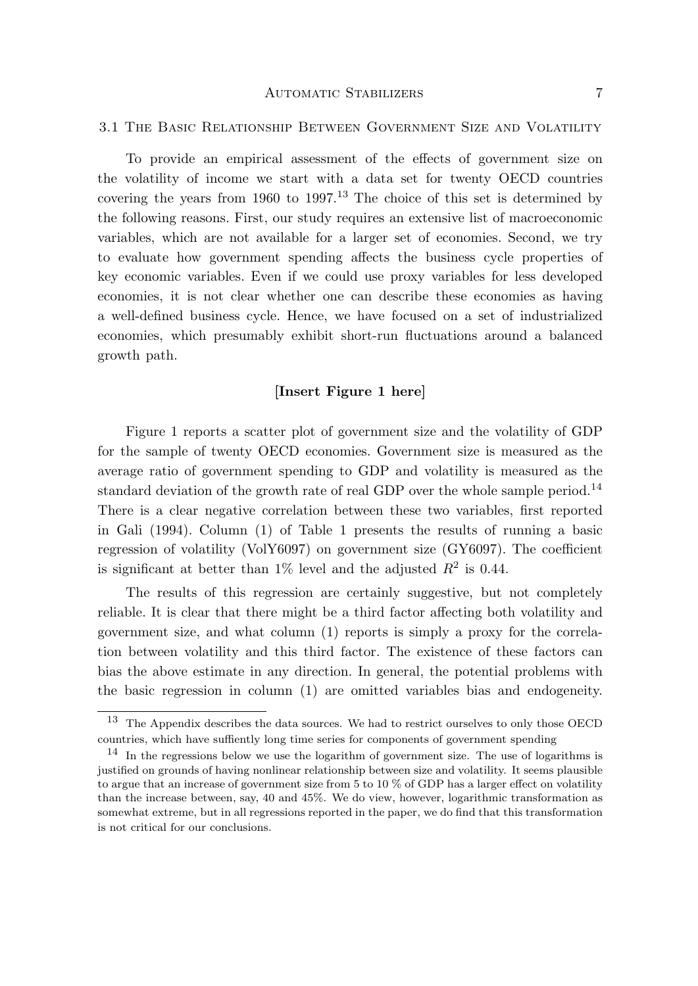#### 3.1 The Basic Relationship Between Government Size and Volatility

To provide an empirical assessment of the effects of government size on the volatility of income we start with a data set for twenty OECD countries covering the years from 1960 to 1997.<sup>13</sup> The choice of this set is determined by the following reasons. First, our study requires an extensive list of macroeconomic variables, which are not available for a larger set of economies. Second, we try to evaluate how government spending affects the business cycle properties of key economic variables. Even if we could use proxy variables for less developed economies, it is not clear whether one can describe these economies as having a well-defined business cycle. Hence, we have focused on a set of industrialized economies, which presumably exhibit short-run fluctuations around a balanced growth path.

#### [Insert Figure 1 here]

Figure 1 reports a scatter plot of government size and the volatility of GDP for the sample of twenty OECD economies. Government size is measured as the average ratio of government spending to GDP and volatility is measured as the standard deviation of the growth rate of real GDP over the whole sample period.<sup>14</sup> There is a clear negative correlation between these two variables, first reported in Gali (1994). Column (1) of Table 1 presents the results of running a basic regression of volatility (VolY6097) on government size (GY6097). The coefficient is significant at better than  $1\%$  level and the adjusted  $R^2$  is 0.44.

The results of this regression are certainly suggestive, but not completely reliable. It is clear that there might be a third factor affecting both volatility and government size, and what column (1) reports is simply a proxy for the correlation between volatility and this third factor. The existence of these factors can bias the above estimate in any direction. In general, the potential problems with the basic regression in column (1) are omitted variables bias and endogeneity.

<sup>13</sup> The Appendix describes the data sources. We had to restrict ourselves to only those OECD countries, which have suffiently long time series for components of government spending

 $14$  In the regressions below we use the logarithm of government size. The use of logarithms is justified on grounds of having nonlinear relationship between size and volatility. It seems plausible to argue that an increase of government size from 5 to 10 % of GDP has a larger effect on volatility than the increase between, say, 40 and 45%. We do view, however, logarithmic transformation as somewhat extreme, but in all regressions reported in the paper, we do find that this transformation is not critical for our conclusions.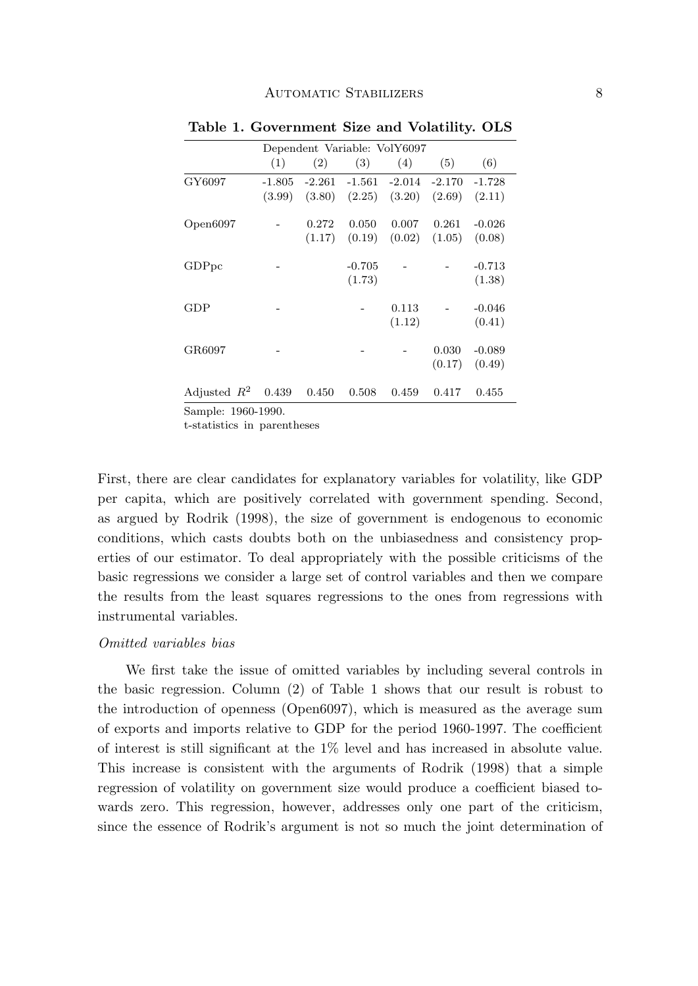|                | Dependent Variable: VolY6097 |          |          |          |          |          |  |  |
|----------------|------------------------------|----------|----------|----------|----------|----------|--|--|
|                | (1)                          | (2)      | (3)      | (4)      | (5)      | (6)      |  |  |
| GY6097         | $-1.805$                     | $-2.261$ | $-1.561$ | $-2.014$ | $-2.170$ | $-1.728$ |  |  |
|                | (3.99)                       | (3.80)   | (2.25)   | (3.20)   | (2.69)   | (2.11)   |  |  |
| Open6097       |                              | 0.272    | 0.050    | 0.007    | 0.261    | $-0.026$ |  |  |
|                |                              | (1.17)   | (0.19)   | (0.02)   | (1.05)   | (0.08)   |  |  |
| GDPpc          |                              |          | $-0.705$ |          |          | $-0.713$ |  |  |
|                |                              |          | (1.73)   |          |          | (1.38)   |  |  |
| GDP            |                              |          |          | 0.113    |          | $-0.046$ |  |  |
|                |                              |          |          | (1.12)   |          | (0.41)   |  |  |
| GR6097         |                              |          |          |          | 0.030    | $-0.089$ |  |  |
|                |                              |          |          |          | (0.17)   | (0.49)   |  |  |
| Adjusted $R^2$ | 0.439                        | 0.450    | 0.508    | 0.459    | 0.417    | 0.455    |  |  |

Table 1. Government Size and Volatility. OLS

Sample: 1960-1990.

t-statistics in parentheses

First, there are clear candidates for explanatory variables for volatility, like GDP per capita, which are positively correlated with government spending. Second, as argued by Rodrik (1998), the size of government is endogenous to economic conditions, which casts doubts both on the unbiasedness and consistency properties of our estimator. To deal appropriately with the possible criticisms of the basic regressions we consider a large set of control variables and then we compare the results from the least squares regressions to the ones from regressions with instrumental variables.

#### Omitted variables bias

We first take the issue of omitted variables by including several controls in the basic regression. Column (2) of Table 1 shows that our result is robust to the introduction of openness (Open6097), which is measured as the average sum of exports and imports relative to GDP for the period 1960-1997. The coefficient of interest is still significant at the 1% level and has increased in absolute value. This increase is consistent with the arguments of Rodrik (1998) that a simple regression of volatility on government size would produce a coefficient biased towards zero. This regression, however, addresses only one part of the criticism, since the essence of Rodrik's argument is not so much the joint determination of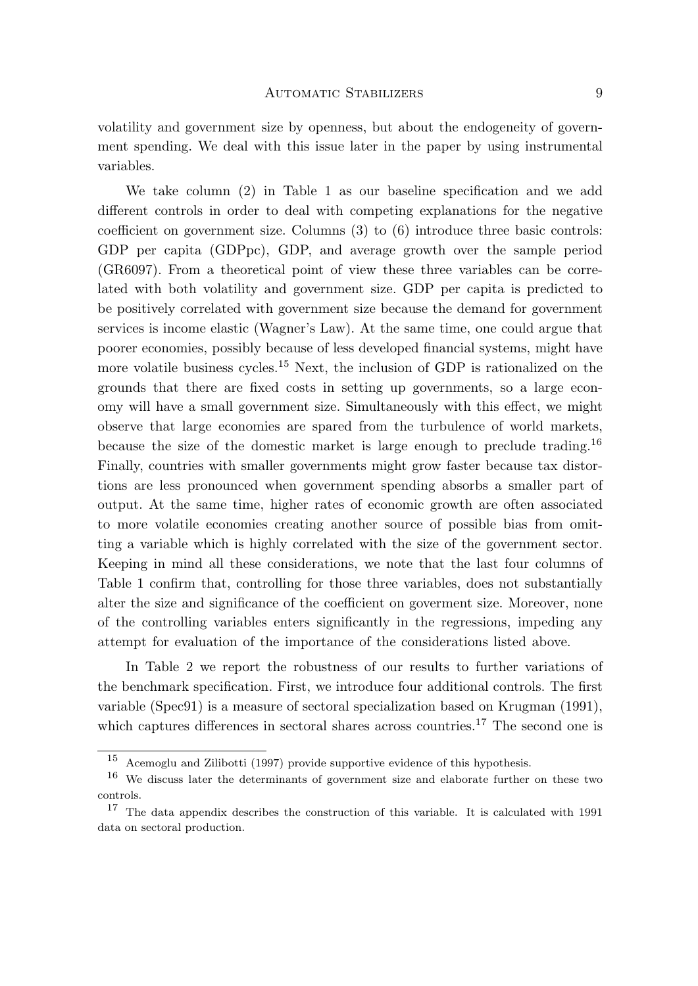volatility and government size by openness, but about the endogeneity of government spending. We deal with this issue later in the paper by using instrumental variables.

We take column (2) in Table 1 as our baseline specification and we add different controls in order to deal with competing explanations for the negative coefficient on government size. Columns (3) to (6) introduce three basic controls: GDP per capita (GDPpc), GDP, and average growth over the sample period (GR6097). From a theoretical point of view these three variables can be correlated with both volatility and government size. GDP per capita is predicted to be positively correlated with government size because the demand for government services is income elastic (Wagner's Law). At the same time, one could argue that poorer economies, possibly because of less developed financial systems, might have more volatile business cycles.<sup>15</sup> Next, the inclusion of GDP is rationalized on the grounds that there are fixed costs in setting up governments, so a large economy will have a small government size. Simultaneously with this effect, we might observe that large economies are spared from the turbulence of world markets, because the size of the domestic market is large enough to preclude trading.<sup>16</sup> Finally, countries with smaller governments might grow faster because tax distortions are less pronounced when government spending absorbs a smaller part of output. At the same time, higher rates of economic growth are often associated to more volatile economies creating another source of possible bias from omitting a variable which is highly correlated with the size of the government sector. Keeping in mind all these considerations, we note that the last four columns of Table 1 confirm that, controlling for those three variables, does not substantially alter the size and significance of the coefficient on goverment size. Moreover, none of the controlling variables enters significantly in the regressions, impeding any attempt for evaluation of the importance of the considerations listed above.

In Table 2 we report the robustness of our results to further variations of the benchmark specification. First, we introduce four additional controls. The first variable (Spec91) is a measure of sectoral specialization based on Krugman (1991), which captures differences in sectoral shares across countries.<sup>17</sup> The second one is

<sup>15</sup> Acemoglu and Zilibotti (1997) provide supportive evidence of this hypothesis.

<sup>16</sup> We discuss later the determinants of government size and elaborate further on these two controls.

<sup>&</sup>lt;sup>17</sup> The data appendix describes the construction of this variable. It is calculated with 1991 data on sectoral production.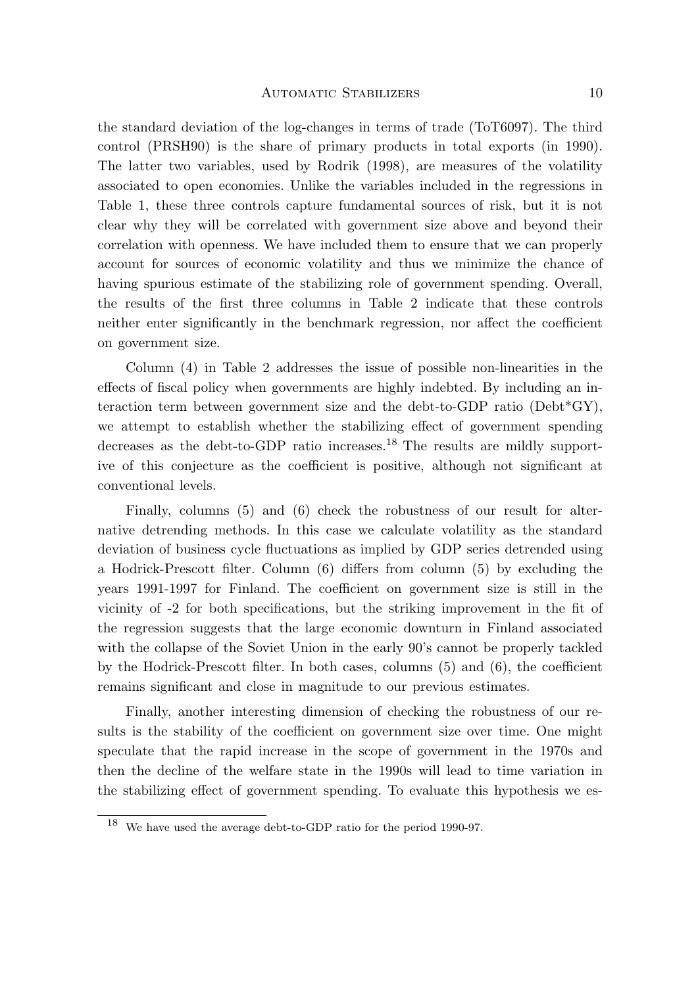the standard deviation of the log-changes in terms of trade (ToT6097). The third control (PRSH90) is the share of primary products in total exports (in 1990). The latter two variables, used by Rodrik (1998), are measures of the volatility associated to open economies. Unlike the variables included in the regressions in Table 1, these three controls capture fundamental sources of risk, but it is not clear why they will be correlated with government size above and beyond their correlation with openness. We have included them to ensure that we can properly account for sources of economic volatility and thus we minimize the chance of having spurious estimate of the stabilizing role of government spending. Overall, the results of the first three columns in Table 2 indicate that these controls neither enter significantly in the benchmark regression, nor affect the coefficient on government size.

Column (4) in Table 2 addresses the issue of possible non-linearities in the effects of fiscal policy when governments are highly indebted. By including an interaction term between government size and the debt-to-GDP ratio (Debt\*GY), we attempt to establish whether the stabilizing effect of government spending decreases as the debt-to-GDP ratio increases.<sup>18</sup> The results are mildly supportive of this conjecture as the coefficient is positive, although not significant at conventional levels.

Finally, columns (5) and (6) check the robustness of our result for alternative detrending methods. In this case we calculate volatility as the standard deviation of business cycle fluctuations as implied by GDP series detrended using a Hodrick-Prescott filter. Column (6) differs from column (5) by excluding the years 1991-1997 for Finland. The coefficient on government size is still in the vicinity of -2 for both specifications, but the striking improvement in the fit of the regression suggests that the large economic downturn in Finland associated with the collapse of the Soviet Union in the early 90's cannot be properly tackled by the Hodrick-Prescott filter. In both cases, columns (5) and (6), the coefficient remains significant and close in magnitude to our previous estimates.

Finally, another interesting dimension of checking the robustness of our results is the stability of the coefficient on government size over time. One might speculate that the rapid increase in the scope of government in the 1970s and then the decline of the welfare state in the 1990s will lead to time variation in the stabilizing effect of government spending. To evaluate this hypothesis we es-

<sup>18</sup> We have used the average debt-to-GDP ratio for the period 1990-97.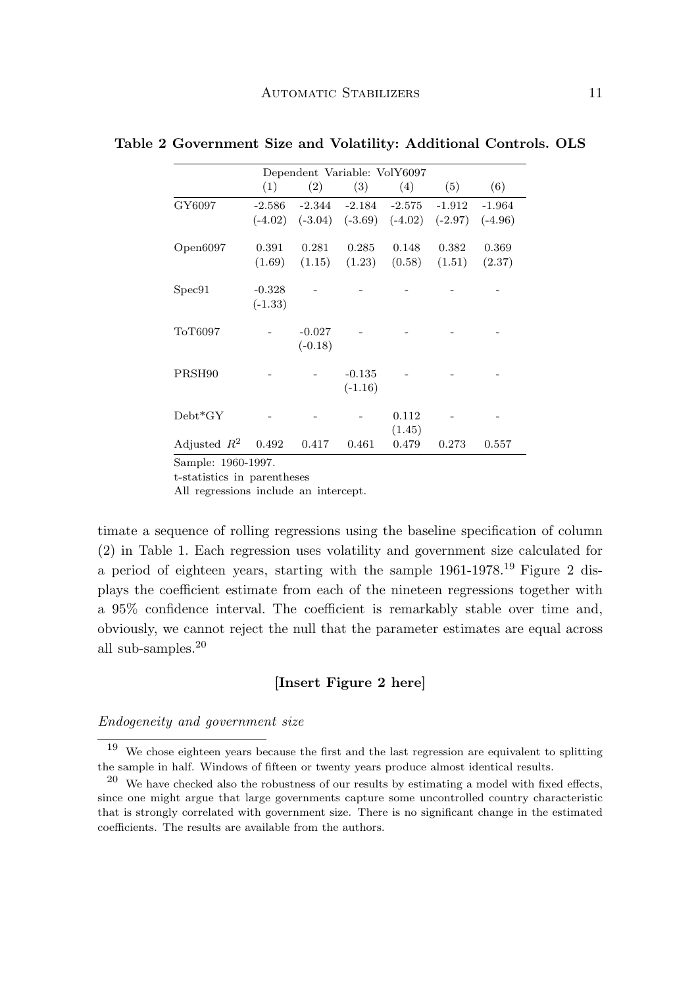|                    | Dependent Variable: VolY6097 |           |                     |           |           |           |  |  |  |
|--------------------|------------------------------|-----------|---------------------|-----------|-----------|-----------|--|--|--|
|                    | (1)                          | (2)       | (3)                 | (4)       | (5)       | (6)       |  |  |  |
| GY6097             | $-2.586$                     | $-2.344$  | $-2.184$            | $-2.575$  | $-1.912$  | $-1.964$  |  |  |  |
|                    | $(-4.02)$                    |           | $(-3.04)$ $(-3.69)$ | $(-4.02)$ | $(-2.97)$ | $(-4.96)$ |  |  |  |
| Open6097           | 0.391                        | 0.281     | 0.285               | 0.148     | 0.382     | 0.369     |  |  |  |
|                    | (1.69)                       | (1.15)    | (1.23)              | (0.58)    | (1.51)    | (2.37)    |  |  |  |
| Spec91             | $-0.328$                     |           |                     |           |           |           |  |  |  |
|                    | $(-1.33)$                    |           |                     |           |           |           |  |  |  |
| ToT6097            |                              | $-0.027$  |                     |           |           |           |  |  |  |
|                    |                              | $(-0.18)$ |                     |           |           |           |  |  |  |
| PRSH <sub>90</sub> |                              |           | $-0.135$            |           |           |           |  |  |  |
|                    |                              |           | $(-1.16)$           |           |           |           |  |  |  |
| $Debt*GY$          |                              |           |                     | 0.112     |           |           |  |  |  |
|                    |                              |           |                     | (1.45)    |           |           |  |  |  |
| Adjusted $R^2$     | 0.492                        | 0.417     | 0.461               | 0.479     | 0.273     | 0.557     |  |  |  |

#### Table 2 Government Size and Volatility: Additional Controls. OLS

Sample: 1960-1997.

t-statistics in parentheses

All regressions include an intercept.

timate a sequence of rolling regressions using the baseline specification of column (2) in Table 1. Each regression uses volatility and government size calculated for a period of eighteen years, starting with the sample 1961-1978.<sup>19</sup> Figure 2 displays the coefficient estimate from each of the nineteen regressions together with a 95% confidence interval. The coefficient is remarkably stable over time and, obviously, we cannot reject the null that the parameter estimates are equal across all sub-samples.<sup>20</sup>

## [Insert Figure 2 here]

Endogeneity and government size

<sup>&</sup>lt;sup>19</sup> We chose eighteen years because the first and the last regression are equivalent to splitting the sample in half. Windows of fifteen or twenty years produce almost identical results.

 $20$  We have checked also the robustness of our results by estimating a model with fixed effects, since one might argue that large governments capture some uncontrolled country characteristic that is strongly correlated with government size. There is no significant change in the estimated coefficients. The results are available from the authors.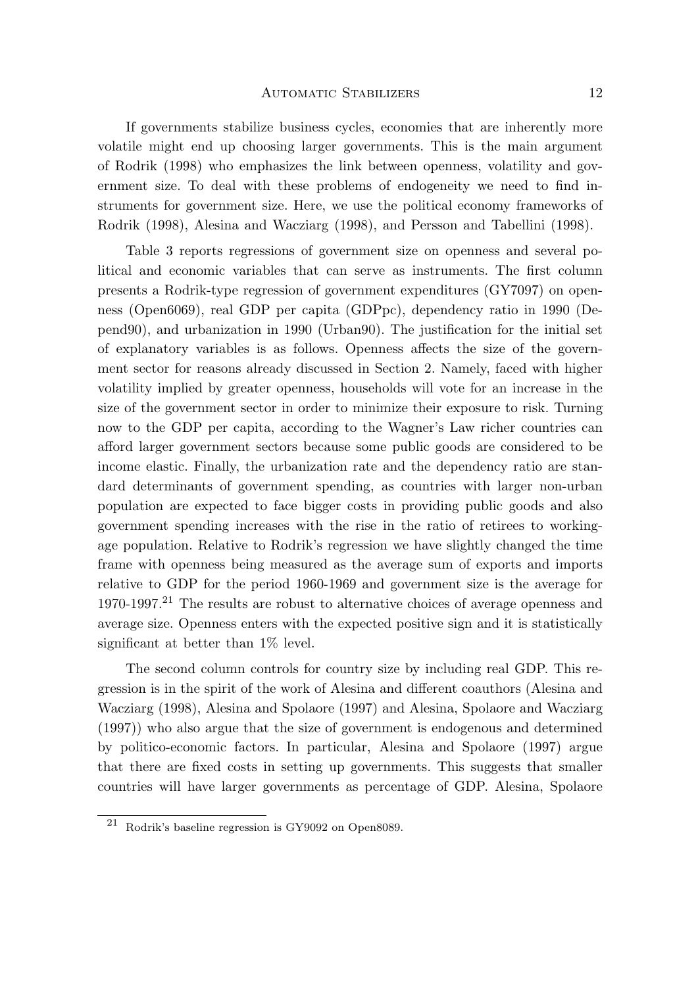If governments stabilize business cycles, economies that are inherently more volatile might end up choosing larger governments. This is the main argument of Rodrik (1998) who emphasizes the link between openness, volatility and government size. To deal with these problems of endogeneity we need to find instruments for government size. Here, we use the political economy frameworks of Rodrik (1998), Alesina and Wacziarg (1998), and Persson and Tabellini (1998).

Table 3 reports regressions of government size on openness and several political and economic variables that can serve as instruments. The first column presents a Rodrik-type regression of government expenditures (GY7097) on openness (Open6069), real GDP per capita (GDPpc), dependency ratio in 1990 (Depend90), and urbanization in 1990 (Urban90). The justification for the initial set of explanatory variables is as follows. Openness affects the size of the government sector for reasons already discussed in Section 2. Namely, faced with higher volatility implied by greater openness, households will vote for an increase in the size of the government sector in order to minimize their exposure to risk. Turning now to the GDP per capita, according to the Wagner's Law richer countries can afford larger government sectors because some public goods are considered to be income elastic. Finally, the urbanization rate and the dependency ratio are standard determinants of government spending, as countries with larger non-urban population are expected to face bigger costs in providing public goods and also government spending increases with the rise in the ratio of retirees to workingage population. Relative to Rodrik's regression we have slightly changed the time frame with openness being measured as the average sum of exports and imports relative to GDP for the period 1960-1969 and government size is the average for  $1970-1997<sup>21</sup>$  The results are robust to alternative choices of average openness and average size. Openness enters with the expected positive sign and it is statistically significant at better than 1% level.

The second column controls for country size by including real GDP. This regression is in the spirit of the work of Alesina and different coauthors (Alesina and Wacziarg (1998), Alesina and Spolaore (1997) and Alesina, Spolaore and Wacziarg (1997)) who also argue that the size of government is endogenous and determined by politico-economic factors. In particular, Alesina and Spolaore (1997) argue that there are fixed costs in setting up governments. This suggests that smaller countries will have larger governments as percentage of GDP. Alesina, Spolaore

<sup>21</sup> Rodrik's baseline regression is GY9092 on Open8089.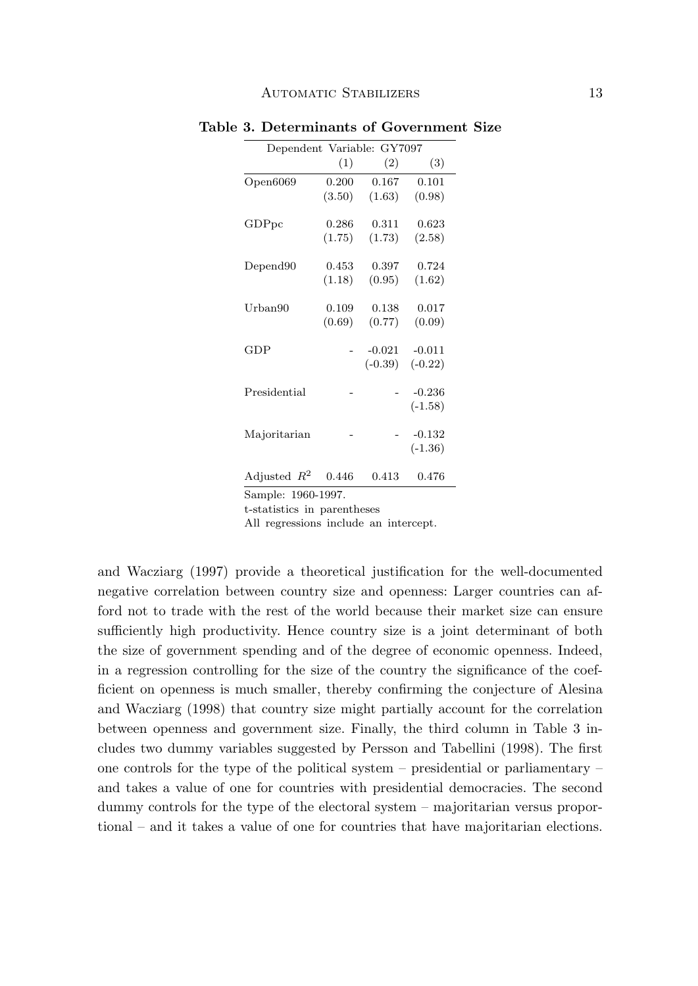| Dependent Variable: GY7097 |        |           |           |  |  |  |  |
|----------------------------|--------|-----------|-----------|--|--|--|--|
|                            | (1)    | (2)       | (3)       |  |  |  |  |
| Open6069                   | 0.200  | 0.167     | 0.101     |  |  |  |  |
|                            | (3.50) | (1.63)    | (0.98)    |  |  |  |  |
| GDPpc                      | 0.286  | 0.311     | 0.623     |  |  |  |  |
|                            | (1.75) | (1.73)    | (2.58)    |  |  |  |  |
| Depend <sub>90</sub>       | 0.453  | 0.397     | 0.724     |  |  |  |  |
|                            | (1.18) | (0.95)    | (1.62)    |  |  |  |  |
| Urban90                    | 0.109  | 0.138     | 0.017     |  |  |  |  |
|                            | (0.69) | (0.77)    | (0.09)    |  |  |  |  |
| GDP                        |        | $-0.021$  | $-0.011$  |  |  |  |  |
|                            |        | $(-0.39)$ | $(-0.22)$ |  |  |  |  |
| Presidential               |        |           | $-0.236$  |  |  |  |  |
|                            |        |           | $(-1.58)$ |  |  |  |  |
| Majoritarian               |        |           | $-0.132$  |  |  |  |  |
|                            |        |           | $(-1.36)$ |  |  |  |  |
| Adjusted $R^2$             | 0.446  | 0.413     | 0.476     |  |  |  |  |

Table 3. Determinants of Government Size

Sample: 1960-1997.

t-statistics in parentheses

All regressions include an intercept.

and Wacziarg (1997) provide a theoretical justification for the well-documented negative correlation between country size and openness: Larger countries can afford not to trade with the rest of the world because their market size can ensure sufficiently high productivity. Hence country size is a joint determinant of both the size of government spending and of the degree of economic openness. Indeed, in a regression controlling for the size of the country the significance of the coefficient on openness is much smaller, thereby confirming the conjecture of Alesina and Wacziarg (1998) that country size might partially account for the correlation between openness and government size. Finally, the third column in Table 3 includes two dummy variables suggested by Persson and Tabellini (1998). The first one controls for the type of the political system – presidential or parliamentary – and takes a value of one for countries with presidential democracies. The second dummy controls for the type of the electoral system – majoritarian versus proportional – and it takes a value of one for countries that have majoritarian elections.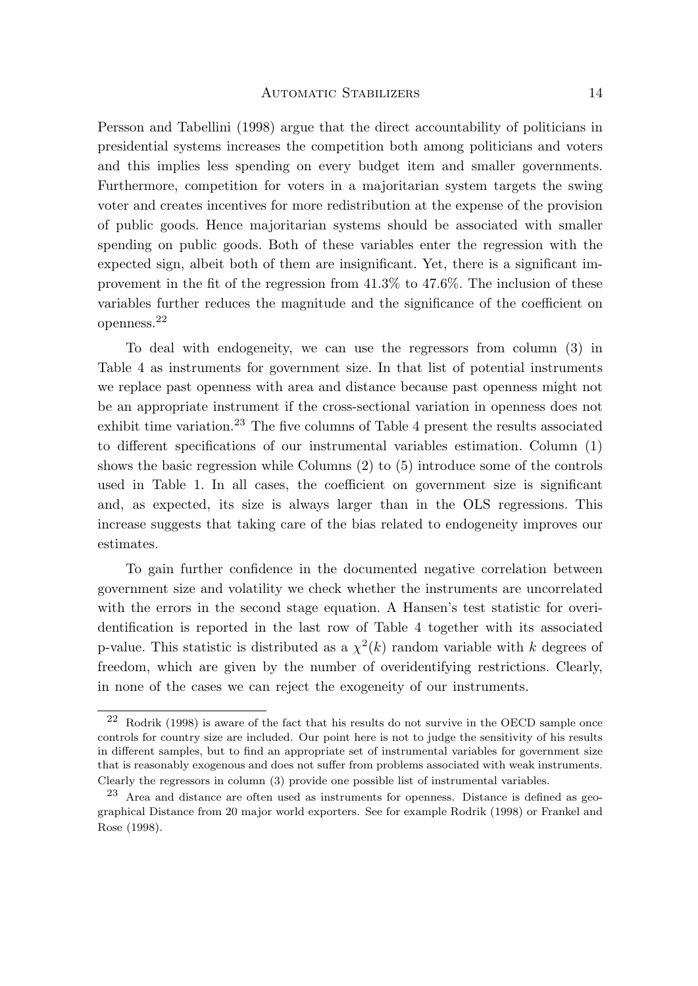Persson and Tabellini (1998) argue that the direct accountability of politicians in presidential systems increases the competition both among politicians and voters and this implies less spending on every budget item and smaller governments. Furthermore, competition for voters in a majoritarian system targets the swing voter and creates incentives for more redistribution at the expense of the provision of public goods. Hence majoritarian systems should be associated with smaller spending on public goods. Both of these variables enter the regression with the expected sign, albeit both of them are insignificant. Yet, there is a significant improvement in the fit of the regression from 41.3% to 47.6%. The inclusion of these variables further reduces the magnitude and the significance of the coefficient on openness.<sup>22</sup>

To deal with endogeneity, we can use the regressors from column (3) in Table 4 as instruments for government size. In that list of potential instruments we replace past openness with area and distance because past openness might not be an appropriate instrument if the cross-sectional variation in openness does not exhibit time variation.<sup>23</sup> The five columns of Table 4 present the results associated to different specifications of our instrumental variables estimation. Column (1) shows the basic regression while Columns (2) to (5) introduce some of the controls used in Table 1. In all cases, the coefficient on government size is significant and, as expected, its size is always larger than in the OLS regressions. This increase suggests that taking care of the bias related to endogeneity improves our estimates.

To gain further confidence in the documented negative correlation between government size and volatility we check whether the instruments are uncorrelated with the errors in the second stage equation. A Hansen's test statistic for overidentification is reported in the last row of Table 4 together with its associated p-value. This statistic is distributed as a  $\chi^2(k)$  random variable with k degrees of freedom, which are given by the number of overidentifying restrictions. Clearly, in none of the cases we can reject the exogeneity of our instruments.

 $^{22}$  Rodrik (1998) is aware of the fact that his results do not survive in the OECD sample once controls for country size are included. Our point here is not to judge the sensitivity of his results in different samples, but to find an appropriate set of instrumental variables for government size that is reasonably exogenous and does not suffer from problems associated with weak instruments. Clearly the regressors in column (3) provide one possible list of instrumental variables.

<sup>23</sup> Area and distance are often used as instruments for openness. Distance is defined as geographical Distance from 20 major world exporters. See for example Rodrik (1998) or Frankel and Rose (1998).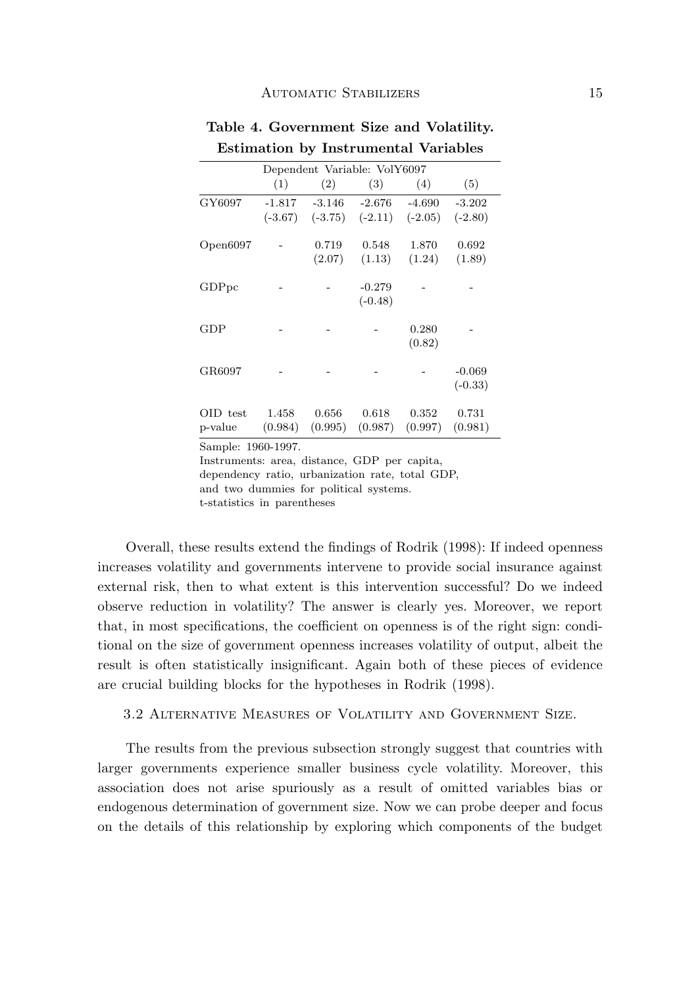|                     | Dependent Variable: VolY6097 |                  |                                           |                  |                       |  |  |  |
|---------------------|------------------------------|------------------|-------------------------------------------|------------------|-----------------------|--|--|--|
|                     | (1)                          | (2)              | (3)                                       | (4)              | (5)                   |  |  |  |
| GY6097              | $-1.817$<br>$(-3.67)$        | $-3.146$         | $-2.676$<br>$(-3.75)$ $(-2.11)$ $(-2.05)$ | $-4.690$         | $-3.202$<br>$(-2.80)$ |  |  |  |
| Open6097            |                              | 0.719<br>(2.07)  | 0.548<br>(1.13)                           | 1.870<br>(1.24)  | 0.692<br>(1.89)       |  |  |  |
| GDPpc               |                              |                  | $-0.279$<br>$(-0.48)$                     |                  |                       |  |  |  |
| GDP                 |                              |                  |                                           | 0.280<br>(0.82)  |                       |  |  |  |
| GR6097              |                              |                  |                                           |                  | $-0.069$<br>$(-0.33)$ |  |  |  |
| OID test<br>p-value | 1.458<br>(0.984)             | 0.656<br>(0.995) | 0.618<br>(0.987)                          | 0.352<br>(0.997) | 0.731<br>(0.981)      |  |  |  |

Table 4. Government Size and Volatility. Estimation by Instrumental Variables

Sample: 1960-1997.

Instruments: area, distance, GDP per capita, dependency ratio, urbanization rate, total GDP, and two dummies for political systems. t-statistics in parentheses

Overall, these results extend the findings of Rodrik (1998): If indeed openness increases volatility and governments intervene to provide social insurance against external risk, then to what extent is this intervention successful? Do we indeed observe reduction in volatility? The answer is clearly yes. Moreover, we report that, in most specifications, the coefficient on openness is of the right sign: conditional on the size of government openness increases volatility of output, albeit the result is often statistically insignificant. Again both of these pieces of evidence are crucial building blocks for the hypotheses in Rodrik (1998).

3.2 Alternative Measures of Volatility and Government Size.

The results from the previous subsection strongly suggest that countries with larger governments experience smaller business cycle volatility. Moreover, this association does not arise spuriously as a result of omitted variables bias or endogenous determination of government size. Now we can probe deeper and focus on the details of this relationship by exploring which components of the budget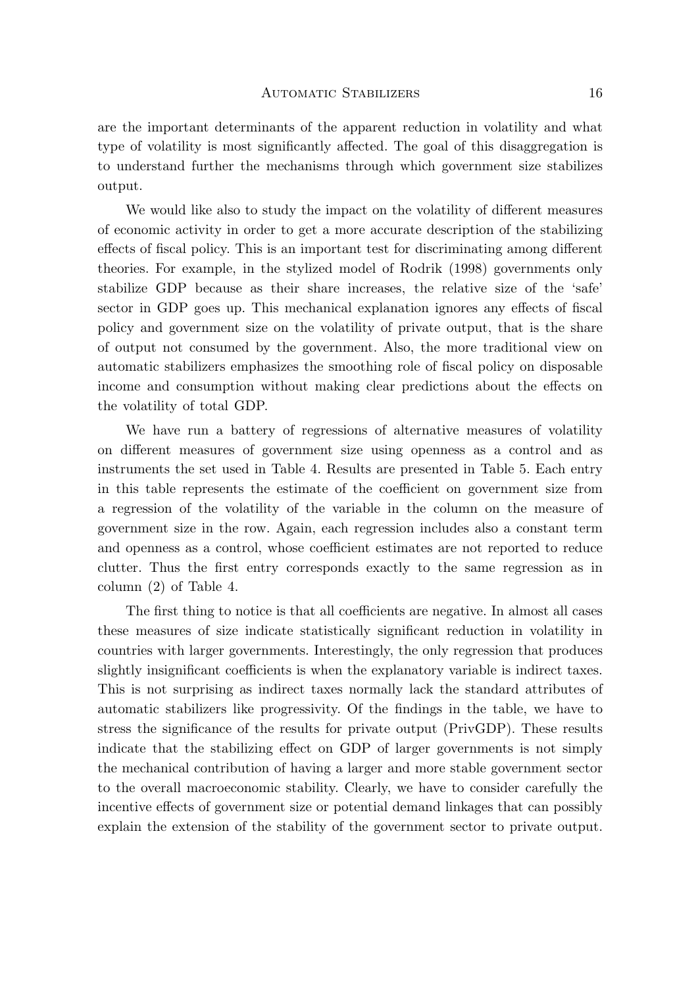are the important determinants of the apparent reduction in volatility and what type of volatility is most significantly affected. The goal of this disaggregation is to understand further the mechanisms through which government size stabilizes output.

We would like also to study the impact on the volatility of different measures of economic activity in order to get a more accurate description of the stabilizing effects of fiscal policy. This is an important test for discriminating among different theories. For example, in the stylized model of Rodrik (1998) governments only stabilize GDP because as their share increases, the relative size of the 'safe' sector in GDP goes up. This mechanical explanation ignores any effects of fiscal policy and government size on the volatility of private output, that is the share of output not consumed by the government. Also, the more traditional view on automatic stabilizers emphasizes the smoothing role of fiscal policy on disposable income and consumption without making clear predictions about the effects on the volatility of total GDP.

We have run a battery of regressions of alternative measures of volatility on different measures of government size using openness as a control and as instruments the set used in Table 4. Results are presented in Table 5. Each entry in this table represents the estimate of the coefficient on government size from a regression of the volatility of the variable in the column on the measure of government size in the row. Again, each regression includes also a constant term and openness as a control, whose coefficient estimates are not reported to reduce clutter. Thus the first entry corresponds exactly to the same regression as in column (2) of Table 4.

The first thing to notice is that all coefficients are negative. In almost all cases these measures of size indicate statistically significant reduction in volatility in countries with larger governments. Interestingly, the only regression that produces slightly insignificant coefficients is when the explanatory variable is indirect taxes. This is not surprising as indirect taxes normally lack the standard attributes of automatic stabilizers like progressivity. Of the findings in the table, we have to stress the significance of the results for private output (PrivGDP). These results indicate that the stabilizing effect on GDP of larger governments is not simply the mechanical contribution of having a larger and more stable government sector to the overall macroeconomic stability. Clearly, we have to consider carefully the incentive effects of government size or potential demand linkages that can possibly explain the extension of the stability of the government sector to private output.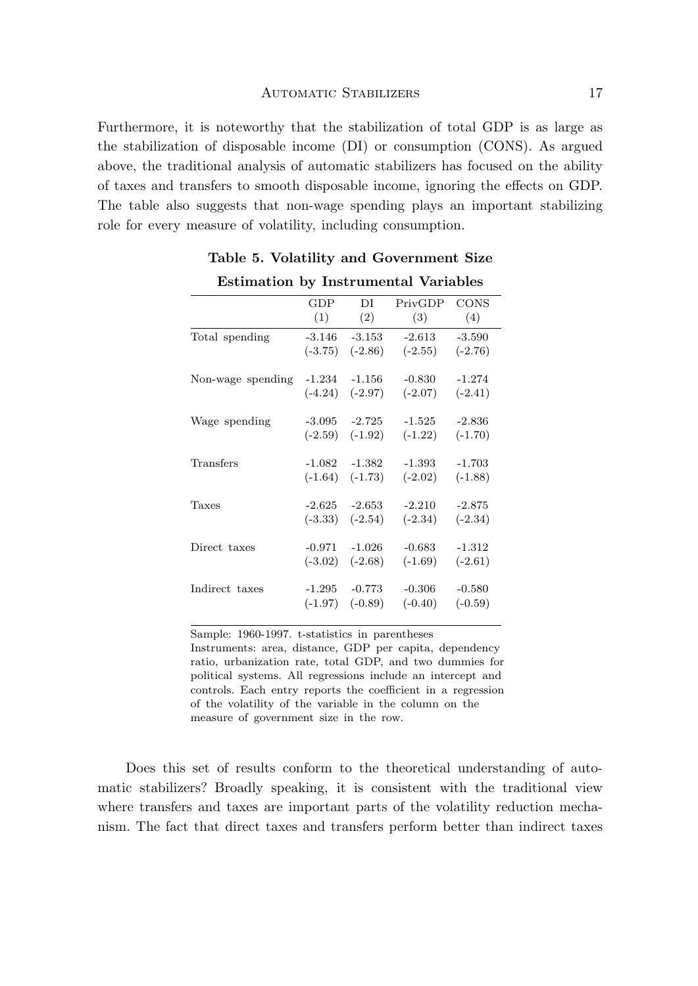Furthermore, it is noteworthy that the stabilization of total GDP is as large as the stabilization of disposable income (DI) or consumption (CONS). As argued above, the traditional analysis of automatic stabilizers has focused on the ability of taxes and transfers to smooth disposable income, ignoring the effects on GDP. The table also suggests that non-wage spending plays an important stabilizing role for every measure of volatility, including consumption.

| $\alpha$ and $\beta$ and $\alpha$ and $\alpha$ and $\alpha$ and $\beta$ |           |           |           |             |
|-------------------------------------------------------------------------|-----------|-----------|-----------|-------------|
|                                                                         | GDP       | DI        | PrivGDP   | <b>CONS</b> |
|                                                                         | (1)       | (2)       | (3)       | (4)         |
| Total spending                                                          | $-3.146$  | $-3.153$  | $-2.613$  | $-3.590$    |
|                                                                         | $(-3.75)$ | $(-2.86)$ | $(-2.55)$ | $(-2.76)$   |
| Non-wage spending                                                       | $-1.234$  | $-1.156$  | $-0.830$  | $-1.274$    |
|                                                                         | $(-4.24)$ | $(-2.97)$ | $(-2.07)$ | $(-2.41)$   |
| Wage spending                                                           | $-3.095$  | $-2.725$  | $-1.525$  | $-2.836$    |
|                                                                         | $(-2.59)$ | $(-1.92)$ | $(-1.22)$ | $(-1.70)$   |
| Transfers                                                               | $-1.082$  | $-1.382$  | $-1.393$  | $-1.703$    |
|                                                                         | $(-1.64)$ | $(-1.73)$ | $(-2.02)$ | $(-1.88)$   |
| Taxes                                                                   | $-2.625$  | $-2.653$  | $-2.210$  | $-2.875$    |
|                                                                         | $(-3.33)$ | $(-2.54)$ | $(-2.34)$ | $(-2.34)$   |
| Direct taxes                                                            | $-0.971$  | $-1.026$  | $-0.683$  | $-1.312$    |
|                                                                         | $(-3.02)$ | $(-2.68)$ | $(-1.69)$ | $(-2.61)$   |
| Indirect taxes                                                          | $-1.295$  | $-0.773$  | $-0.306$  | $-0.580$    |
|                                                                         | $(-1.97)$ | $(-0.89)$ | $(-0.40)$ | $(-0.59)$   |

# Table 5. Volatility and Government Size Estimation by Instrumental Variables

Sample: 1960-1997. t-statistics in parentheses

Instruments: area, distance, GDP per capita, dependency ratio, urbanization rate, total GDP, and two dummies for political systems. All regressions include an intercept and controls. Each entry reports the coefficient in a regression of the volatility of the variable in the column on the measure of government size in the row.

Does this set of results conform to the theoretical understanding of automatic stabilizers? Broadly speaking, it is consistent with the traditional view where transfers and taxes are important parts of the volatility reduction mechanism. The fact that direct taxes and transfers perform better than indirect taxes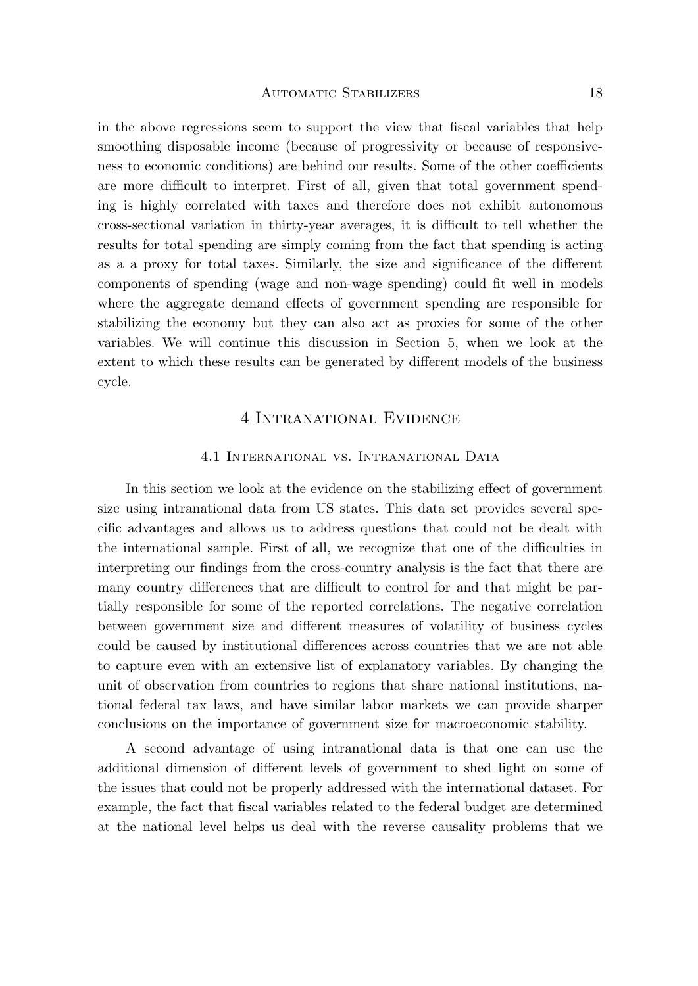in the above regressions seem to support the view that fiscal variables that help smoothing disposable income (because of progressivity or because of responsiveness to economic conditions) are behind our results. Some of the other coefficients are more difficult to interpret. First of all, given that total government spending is highly correlated with taxes and therefore does not exhibit autonomous cross-sectional variation in thirty-year averages, it is difficult to tell whether the results for total spending are simply coming from the fact that spending is acting as a a proxy for total taxes. Similarly, the size and significance of the different components of spending (wage and non-wage spending) could fit well in models where the aggregate demand effects of government spending are responsible for stabilizing the economy but they can also act as proxies for some of the other variables. We will continue this discussion in Section 5, when we look at the extent to which these results can be generated by different models of the business cycle.

# 4 Intranational Evidence

## 4.1 International vs. Intranational Data

In this section we look at the evidence on the stabilizing effect of government size using intranational data from US states. This data set provides several specific advantages and allows us to address questions that could not be dealt with the international sample. First of all, we recognize that one of the difficulties in interpreting our findings from the cross-country analysis is the fact that there are many country differences that are difficult to control for and that might be partially responsible for some of the reported correlations. The negative correlation between government size and different measures of volatility of business cycles could be caused by institutional differences across countries that we are not able to capture even with an extensive list of explanatory variables. By changing the unit of observation from countries to regions that share national institutions, national federal tax laws, and have similar labor markets we can provide sharper conclusions on the importance of government size for macroeconomic stability.

A second advantage of using intranational data is that one can use the additional dimension of different levels of government to shed light on some of the issues that could not be properly addressed with the international dataset. For example, the fact that fiscal variables related to the federal budget are determined at the national level helps us deal with the reverse causality problems that we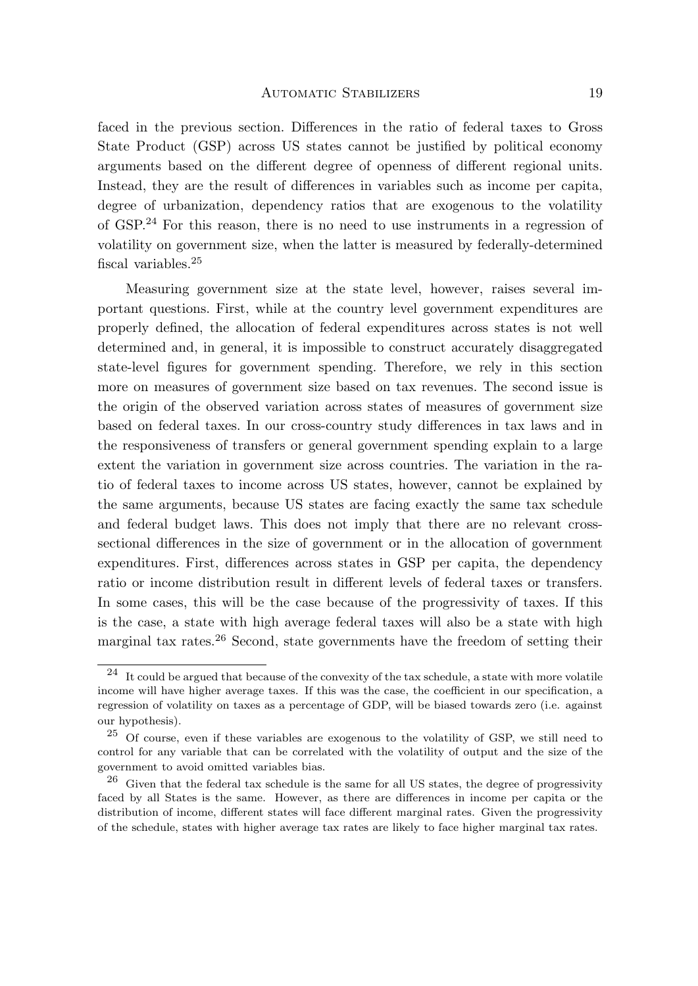faced in the previous section. Differences in the ratio of federal taxes to Gross State Product (GSP) across US states cannot be justified by political economy arguments based on the different degree of openness of different regional units. Instead, they are the result of differences in variables such as income per capita, degree of urbanization, dependency ratios that are exogenous to the volatility of GSP.<sup>24</sup> For this reason, there is no need to use instruments in a regression of volatility on government size, when the latter is measured by federally-determined fiscal variables.<sup>25</sup>

Measuring government size at the state level, however, raises several important questions. First, while at the country level government expenditures are properly defined, the allocation of federal expenditures across states is not well determined and, in general, it is impossible to construct accurately disaggregated state-level figures for government spending. Therefore, we rely in this section more on measures of government size based on tax revenues. The second issue is the origin of the observed variation across states of measures of government size based on federal taxes. In our cross-country study differences in tax laws and in the responsiveness of transfers or general government spending explain to a large extent the variation in government size across countries. The variation in the ratio of federal taxes to income across US states, however, cannot be explained by the same arguments, because US states are facing exactly the same tax schedule and federal budget laws. This does not imply that there are no relevant crosssectional differences in the size of government or in the allocation of government expenditures. First, differences across states in GSP per capita, the dependency ratio or income distribution result in different levels of federal taxes or transfers. In some cases, this will be the case because of the progressivity of taxes. If this is the case, a state with high average federal taxes will also be a state with high marginal tax rates.<sup>26</sup> Second, state governments have the freedom of setting their

 $^{24}$  It could be argued that because of the convexity of the tax schedule, a state with more volatile income will have higher average taxes. If this was the case, the coefficient in our specification, a regression of volatility on taxes as a percentage of GDP, will be biased towards zero (i.e. against our hypothesis).

 $25$  Of course, even if these variables are exogenous to the volatility of GSP, we still need to control for any variable that can be correlated with the volatility of output and the size of the government to avoid omitted variables bias.

 $26$  Given that the federal tax schedule is the same for all US states, the degree of progressivity faced by all States is the same. However, as there are differences in income per capita or the distribution of income, different states will face different marginal rates. Given the progressivity of the schedule, states with higher average tax rates are likely to face higher marginal tax rates.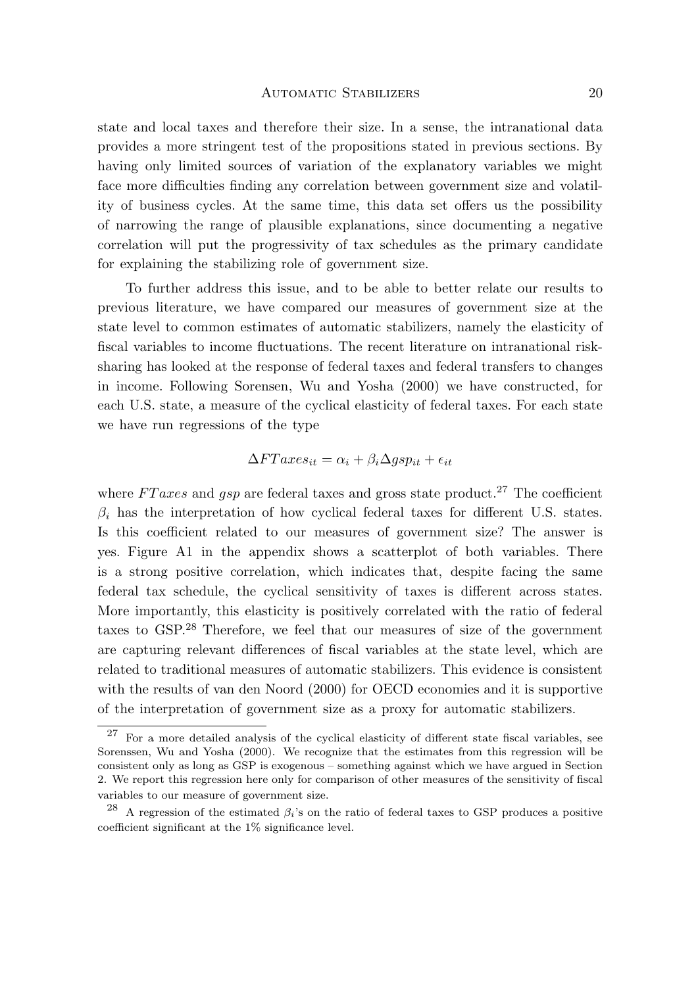state and local taxes and therefore their size. In a sense, the intranational data provides a more stringent test of the propositions stated in previous sections. By having only limited sources of variation of the explanatory variables we might face more difficulties finding any correlation between government size and volatility of business cycles. At the same time, this data set offers us the possibility of narrowing the range of plausible explanations, since documenting a negative correlation will put the progressivity of tax schedules as the primary candidate for explaining the stabilizing role of government size.

To further address this issue, and to be able to better relate our results to previous literature, we have compared our measures of government size at the state level to common estimates of automatic stabilizers, namely the elasticity of fiscal variables to income fluctuations. The recent literature on intranational risksharing has looked at the response of federal taxes and federal transfers to changes in income. Following Sorensen, Wu and Yosha (2000) we have constructed, for each U.S. state, a measure of the cyclical elasticity of federal taxes. For each state we have run regressions of the type

# $\Delta FT axes_{it} = \alpha_i + \beta_i \Delta gsp_{it} + \epsilon_{it}$

where  $FTaxes$  and gsp are federal taxes and gross state product.<sup>27</sup> The coefficient  $\beta_i$  has the interpretation of how cyclical federal taxes for different U.S. states. Is this coefficient related to our measures of government size? The answer is yes. Figure A1 in the appendix shows a scatterplot of both variables. There is a strong positive correlation, which indicates that, despite facing the same federal tax schedule, the cyclical sensitivity of taxes is different across states. More importantly, this elasticity is positively correlated with the ratio of federal taxes to GSP.<sup>28</sup> Therefore, we feel that our measures of size of the government are capturing relevant differences of fiscal variables at the state level, which are related to traditional measures of automatic stabilizers. This evidence is consistent with the results of van den Noord (2000) for OECD economies and it is supportive of the interpretation of government size as a proxy for automatic stabilizers.

<sup>27</sup> For a more detailed analysis of the cyclical elasticity of different state fiscal variables, see Sorenssen, Wu and Yosha (2000). We recognize that the estimates from this regression will be consistent only as long as GSP is exogenous – something against which we have argued in Section 2. We report this regression here only for comparison of other measures of the sensitivity of fiscal variables to our measure of government size.

<sup>&</sup>lt;sup>28</sup> A regression of the estimated  $\beta_i$ 's on the ratio of federal taxes to GSP produces a positive coefficient significant at the 1% significance level.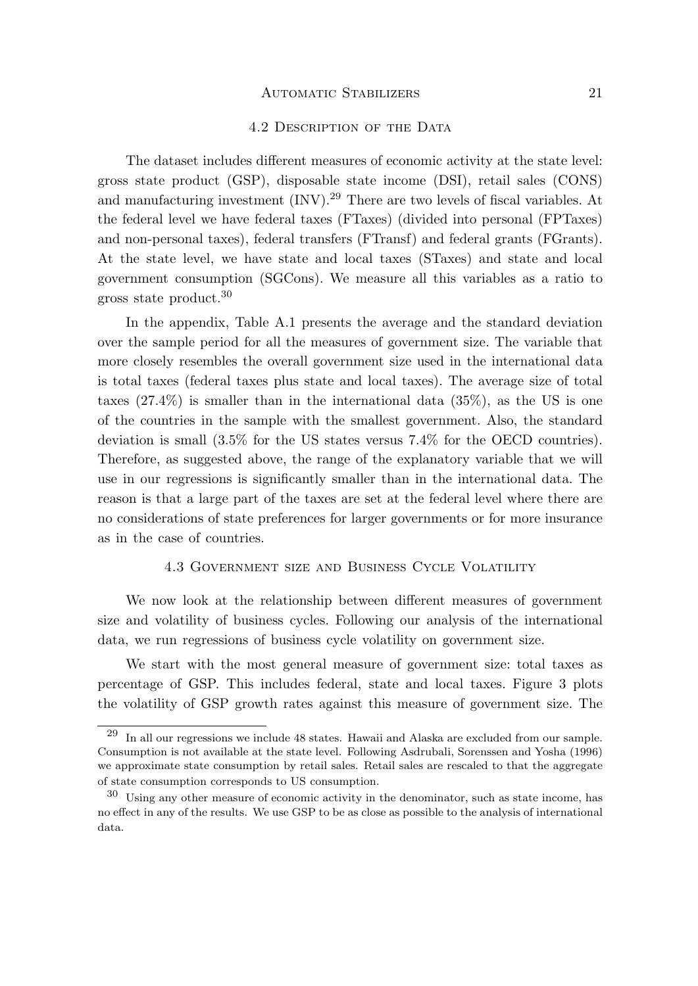## 4.2 Description of the Data

The dataset includes different measures of economic activity at the state level: gross state product (GSP), disposable state income (DSI), retail sales (CONS) and manufacturing investment  $(INV).^{29}$  There are two levels of fiscal variables. At the federal level we have federal taxes (FTaxes) (divided into personal (FPTaxes) and non-personal taxes), federal transfers (FTransf) and federal grants (FGrants). At the state level, we have state and local taxes (STaxes) and state and local government consumption (SGCons). We measure all this variables as a ratio to gross state product.<sup>30</sup>

In the appendix, Table A.1 presents the average and the standard deviation over the sample period for all the measures of government size. The variable that more closely resembles the overall government size used in the international data is total taxes (federal taxes plus state and local taxes). The average size of total taxes (27.4%) is smaller than in the international data (35%), as the US is one of the countries in the sample with the smallest government. Also, the standard deviation is small (3.5% for the US states versus 7.4% for the OECD countries). Therefore, as suggested above, the range of the explanatory variable that we will use in our regressions is significantly smaller than in the international data. The reason is that a large part of the taxes are set at the federal level where there are no considerations of state preferences for larger governments or for more insurance as in the case of countries.

#### 4.3 Government size and Business Cycle Volatility

We now look at the relationship between different measures of government size and volatility of business cycles. Following our analysis of the international data, we run regressions of business cycle volatility on government size.

We start with the most general measure of government size: total taxes as percentage of GSP. This includes federal, state and local taxes. Figure 3 plots the volatility of GSP growth rates against this measure of government size. The

 $^{29}\,$  In all our regressions we include 48 states. Hawaii and Alaska are excluded from our sample. Consumption is not available at the state level. Following Asdrubali, Sorenssen and Yosha (1996) we approximate state consumption by retail sales. Retail sales are rescaled to that the aggregate of state consumption corresponds to US consumption.

 $30$  Using any other measure of economic activity in the denominator, such as state income, has no effect in any of the results. We use GSP to be as close as possible to the analysis of international data.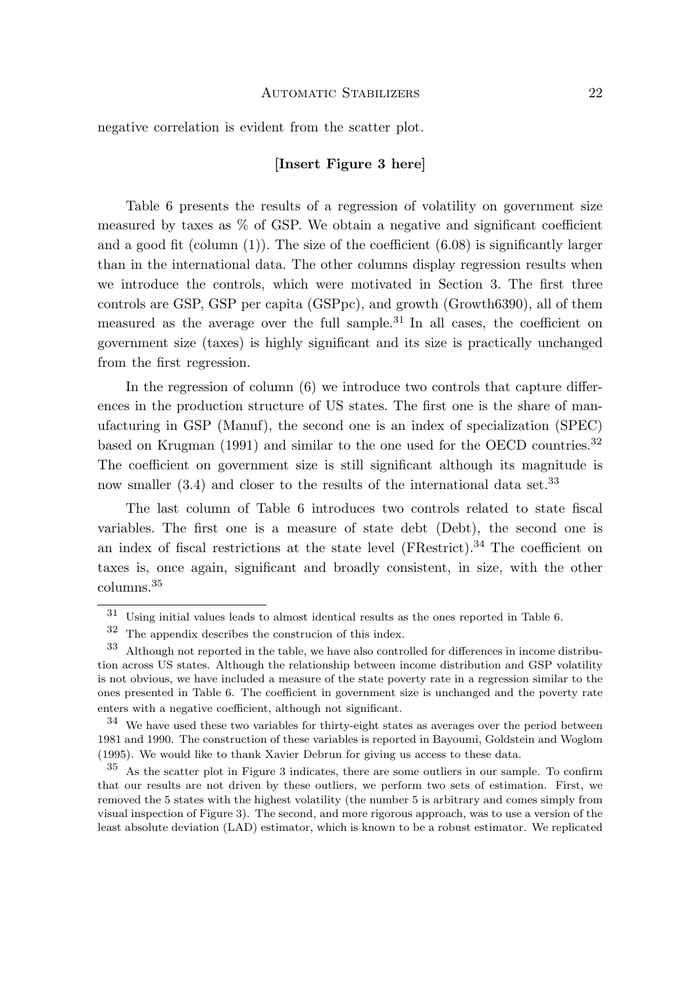negative correlation is evident from the scatter plot.

## [Insert Figure 3 here]

Table 6 presents the results of a regression of volatility on government size measured by taxes as % of GSP. We obtain a negative and significant coefficient and a good fit (column (1)). The size of the coefficient (6.08) is significantly larger than in the international data. The other columns display regression results when we introduce the controls, which were motivated in Section 3. The first three controls are GSP, GSP per capita (GSPpc), and growth (Growth6390), all of them measured as the average over the full sample. $31$  In all cases, the coefficient on government size (taxes) is highly significant and its size is practically unchanged from the first regression.

In the regression of column (6) we introduce two controls that capture differences in the production structure of US states. The first one is the share of manufacturing in GSP (Manuf), the second one is an index of specialization (SPEC) based on Krugman (1991) and similar to the one used for the OECD countries.<sup>32</sup> The coefficient on government size is still significant although its magnitude is now smaller  $(3.4)$  and closer to the results of the international data set.<sup>33</sup>

The last column of Table 6 introduces two controls related to state fiscal variables. The first one is a measure of state debt (Debt), the second one is an index of fiscal restrictions at the state level  $(FRestrict).<sup>34</sup>$  The coefficient on taxes is, once again, significant and broadly consistent, in size, with the other columns.<sup>35</sup>

<sup>31</sup> Using initial values leads to almost identical results as the ones reported in Table 6.

<sup>32</sup> The appendix describes the construcion of this index.

<sup>33</sup> Although not reported in the table, we have also controlled for differences in income distribution across US states. Although the relationship between income distribution and GSP volatility is not obvious, we have included a measure of the state poverty rate in a regression similar to the ones presented in Table 6. The coefficient in government size is unchanged and the poverty rate enters with a negative coefficient, although not significant.

 $34$  We have used these two variables for thirty-eight states as averages over the period between 1981 and 1990. The construction of these variables is reported in Bayoumi, Goldstein and Woglom (1995). We would like to thank Xavier Debrun for giving us access to these data.

<sup>35</sup> As the scatter plot in Figure 3 indicates, there are some outliers in our sample. To confirm that our results are not driven by these outliers, we perform two sets of estimation. First, we removed the 5 states with the highest volatility (the number 5 is arbitrary and comes simply from visual inspection of Figure 3). The second, and more rigorous approach, was to use a version of the least absolute deviation (LAD) estimator, which is known to be a robust estimator. We replicated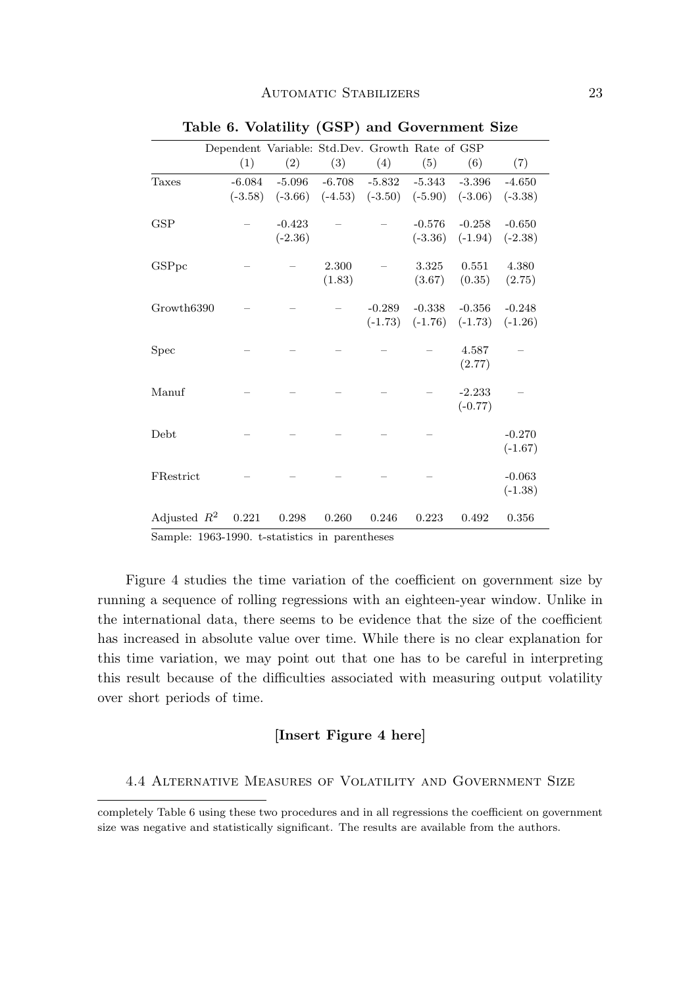|                | Dependent Variable: Std.Dev. Growth Rate of GSP    |           |           |                               |           |           |           |  |  |
|----------------|----------------------------------------------------|-----------|-----------|-------------------------------|-----------|-----------|-----------|--|--|
|                | (1)                                                | (2)       | (3)       | (4)                           | (5)       | (6)       | (7)       |  |  |
| <b>Taxes</b>   | $-6.084$                                           | $-5.096$  | $-6.708$  | $-5.832$                      | $-5.343$  | $-3.396$  | $-4.650$  |  |  |
|                | $(-3.58)$                                          | $(-3.66)$ |           | $(-4.53)$ $(-3.50)$ $(-5.90)$ |           | $(-3.06)$ | $(-3.38)$ |  |  |
| <b>GSP</b>     |                                                    | $-0.423$  |           |                               | $-0.576$  | $-0.258$  | $-0.650$  |  |  |
|                |                                                    | $(-2.36)$ |           |                               | $(-3.36)$ | $(-1.94)$ | $(-2.38)$ |  |  |
| GSPpc          |                                                    |           | $2.300\,$ |                               | 3.325     | 0.551     | 4.380     |  |  |
|                |                                                    |           | (1.83)    |                               | (3.67)    | (0.35)    | (2.75)    |  |  |
| Growth6390     |                                                    |           |           | $-0.289$                      | $-0.338$  | $-0.356$  | $-0.248$  |  |  |
|                |                                                    |           |           | $(-1.73)$                     | $(-1.76)$ | $(-1.73)$ | $(-1.26)$ |  |  |
| Spec           |                                                    |           |           |                               |           | 4.587     |           |  |  |
|                |                                                    |           |           |                               |           | (2.77)    |           |  |  |
| Manuf          |                                                    |           |           |                               |           | $-2.233$  |           |  |  |
|                |                                                    |           |           |                               |           | $(-0.77)$ |           |  |  |
| Debt           |                                                    |           |           |                               |           |           | $-0.270$  |  |  |
|                |                                                    |           |           |                               |           |           | $(-1.67)$ |  |  |
| FRestrict      |                                                    |           |           |                               |           |           | $-0.063$  |  |  |
|                |                                                    |           |           |                               |           |           | $(-1.38)$ |  |  |
| Adjusted $R^2$ | 0.221                                              | 0.298     | 0.260     | 0.246                         | 0.223     | 0.492     | 0.356     |  |  |
|                | $Ggeneral = 1069, 1000$ totalistics in noneatheres |           |           |                               |           |           |           |  |  |

Table 6. Volatility (GSP) and Government Size

Sample: 1963-1990. t-statistics in parentheses

Figure 4 studies the time variation of the coefficient on government size by running a sequence of rolling regressions with an eighteen-year window. Unlike in the international data, there seems to be evidence that the size of the coefficient has increased in absolute value over time. While there is no clear explanation for this time variation, we may point out that one has to be careful in interpreting this result because of the difficulties associated with measuring output volatility over short periods of time.

## [Insert Figure 4 here]

4.4 Alternative Measures of Volatility and Government Size

completely Table 6 using these two procedures and in all regressions the coefficient on government size was negative and statistically significant. The results are available from the authors.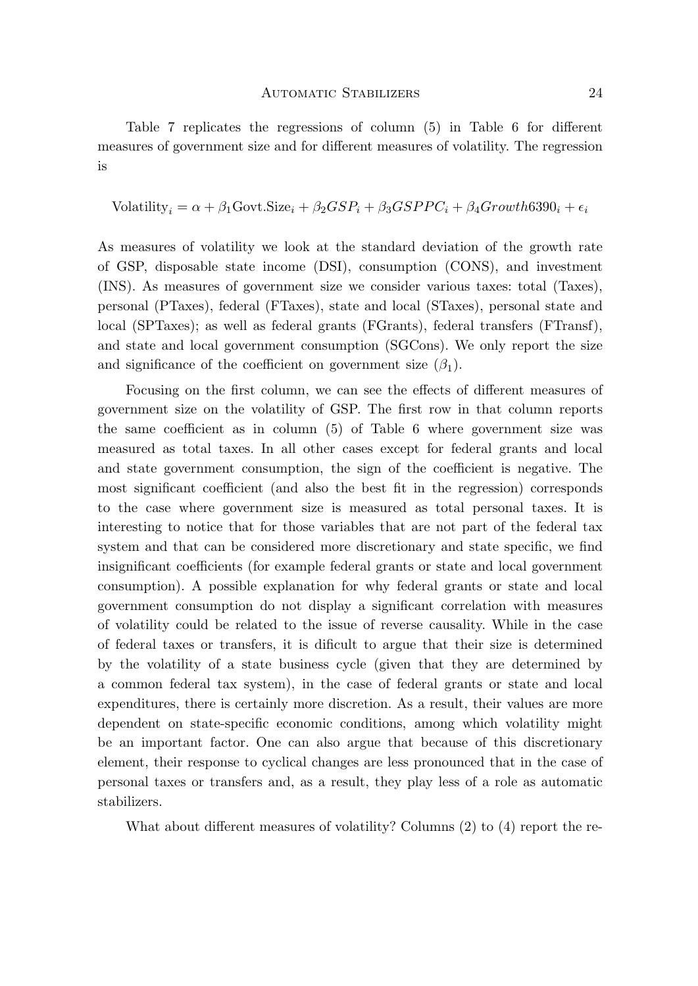Table 7 replicates the regressions of column (5) in Table 6 for different measures of government size and for different measures of volatility. The regression is

$$
Volatility_i = \alpha + \beta_1 Govt.Size_i + \beta_2 GSP_i + \beta_3 GSPPC_i + \beta_4 Growth 6390_i + \epsilon_i
$$

As measures of volatility we look at the standard deviation of the growth rate of GSP, disposable state income (DSI), consumption (CONS), and investment (INS). As measures of government size we consider various taxes: total (Taxes), personal (PTaxes), federal (FTaxes), state and local (STaxes), personal state and local (SPTaxes); as well as federal grants (FGrants), federal transfers (FTransf), and state and local government consumption (SGCons). We only report the size and significance of the coefficient on government size  $(\beta_1)$ .

Focusing on the first column, we can see the effects of different measures of government size on the volatility of GSP. The first row in that column reports the same coefficient as in column (5) of Table 6 where government size was measured as total taxes. In all other cases except for federal grants and local and state government consumption, the sign of the coefficient is negative. The most significant coefficient (and also the best fit in the regression) corresponds to the case where government size is measured as total personal taxes. It is interesting to notice that for those variables that are not part of the federal tax system and that can be considered more discretionary and state specific, we find insignificant coefficients (for example federal grants or state and local government consumption). A possible explanation for why federal grants or state and local government consumption do not display a significant correlation with measures of volatility could be related to the issue of reverse causality. While in the case of federal taxes or transfers, it is dificult to argue that their size is determined by the volatility of a state business cycle (given that they are determined by a common federal tax system), in the case of federal grants or state and local expenditures, there is certainly more discretion. As a result, their values are more dependent on state-specific economic conditions, among which volatility might be an important factor. One can also argue that because of this discretionary element, their response to cyclical changes are less pronounced that in the case of personal taxes or transfers and, as a result, they play less of a role as automatic stabilizers.

What about different measures of volatility? Columns (2) to (4) report the re-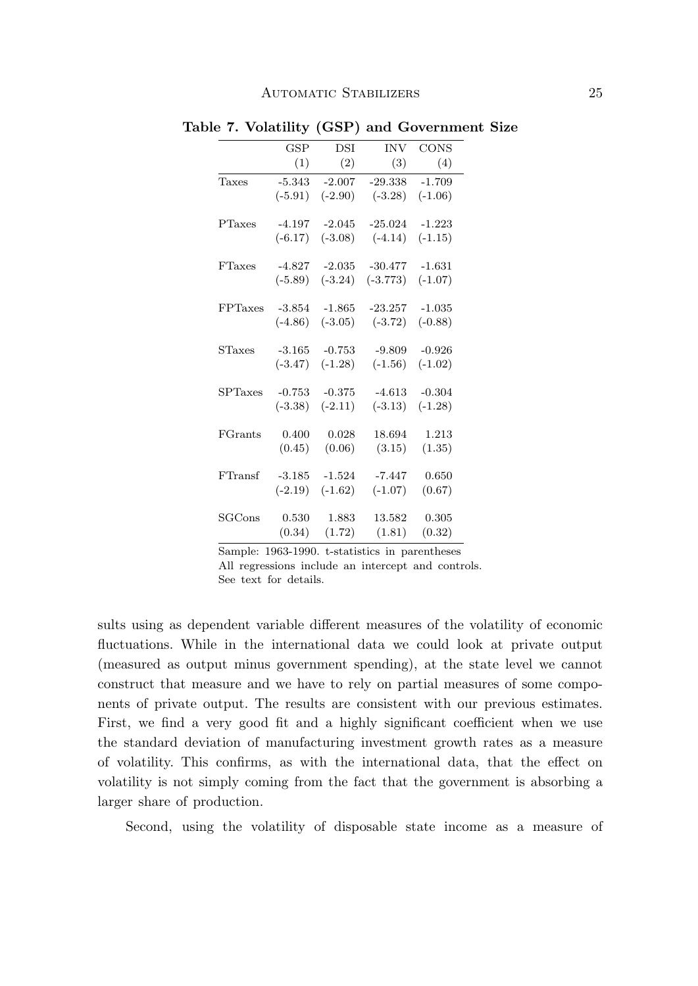|                         | GSP       | DSI       | <b>INV</b> | CONS      |
|-------------------------|-----------|-----------|------------|-----------|
|                         | (1)       | (2)       | (3)        | (4)       |
| Taxes                   | $-5.343$  | $-2.007$  | $-29.338$  | $-1.709$  |
|                         | $(-5.91)$ | $(-2.90)$ | $(-3.28)$  | $(-1.06)$ |
| PTaxes                  | $-4.197$  | $-2.045$  | $-25.024$  | $-1.223$  |
|                         | $(-6.17)$ | $(-3.08)$ | $(-4.14)$  | $(-1.15)$ |
| FTaxes                  | $-4.827$  | $-2.035$  | $-30.477$  | $-1.631$  |
|                         | $(-5.89)$ | $(-3.24)$ | $(-3.773)$ | $(-1.07)$ |
| FPTaxes                 | $-3.854$  | $-1.865$  | $-23.257$  | $-1.035$  |
|                         | $(-4.86)$ | $(-3.05)$ | $(-3.72)$  | $(-0.88)$ |
| $\operatorname{STaxes}$ | $-3.165$  | $-0.753$  | $-9.809$   | $-0.926$  |
|                         | $(-3.47)$ | $(-1.28)$ | $(-1.56)$  | $(-1.02)$ |
| SPTaxes                 | $-0.753$  | $-0.375$  | $-4.613$   | $-0.304$  |
|                         | $(-3.38)$ | $(-2.11)$ | $(-3.13)$  | $(-1.28)$ |
| <b>FGrants</b>          | 0.400     | 0.028     | 18.694     | 1.213     |
|                         | (0.45)    | (0.06)    | (3.15)     | (1.35)    |
| FTransf                 | $-3.185$  | $-1.524$  | $-7.447$   | 0.650     |
|                         | $(-2.19)$ | $(-1.62)$ | $(-1.07)$  | (0.67)    |
| SGCons                  | 0.530     | 1.883     | 13.582     | 0.305     |
|                         | (0.34)    | (1.72)    | (1.81)     | (0.32)    |

Table 7. Volatility (GSP) and Government Size

Sample: 1963-1990. t-statistics in parentheses All regressions include an intercept and controls. See text for details.

sults using as dependent variable different measures of the volatility of economic fluctuations. While in the international data we could look at private output (measured as output minus government spending), at the state level we cannot construct that measure and we have to rely on partial measures of some components of private output. The results are consistent with our previous estimates. First, we find a very good fit and a highly significant coefficient when we use the standard deviation of manufacturing investment growth rates as a measure of volatility. This confirms, as with the international data, that the effect on volatility is not simply coming from the fact that the government is absorbing a larger share of production.

Second, using the volatility of disposable state income as a measure of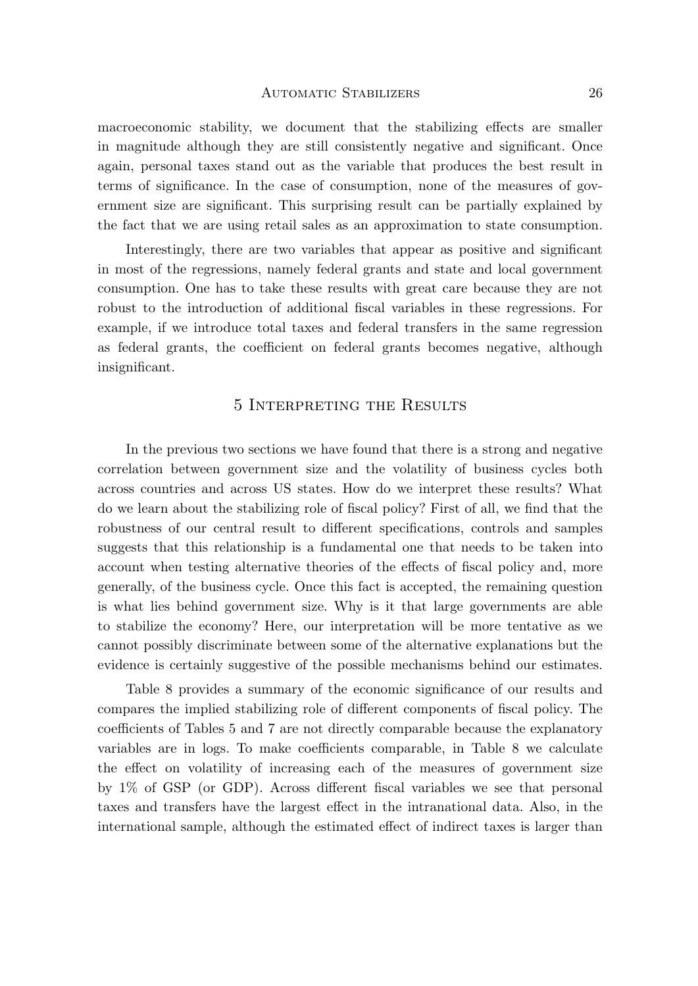macroeconomic stability, we document that the stabilizing effects are smaller in magnitude although they are still consistently negative and significant. Once again, personal taxes stand out as the variable that produces the best result in terms of significance. In the case of consumption, none of the measures of government size are significant. This surprising result can be partially explained by the fact that we are using retail sales as an approximation to state consumption.

Interestingly, there are two variables that appear as positive and significant in most of the regressions, namely federal grants and state and local government consumption. One has to take these results with great care because they are not robust to the introduction of additional fiscal variables in these regressions. For example, if we introduce total taxes and federal transfers in the same regression as federal grants, the coefficient on federal grants becomes negative, although insignificant.

# 5 Interpreting the Results

In the previous two sections we have found that there is a strong and negative correlation between government size and the volatility of business cycles both across countries and across US states. How do we interpret these results? What do we learn about the stabilizing role of fiscal policy? First of all, we find that the robustness of our central result to different specifications, controls and samples suggests that this relationship is a fundamental one that needs to be taken into account when testing alternative theories of the effects of fiscal policy and, more generally, of the business cycle. Once this fact is accepted, the remaining question is what lies behind government size. Why is it that large governments are able to stabilize the economy? Here, our interpretation will be more tentative as we cannot possibly discriminate between some of the alternative explanations but the evidence is certainly suggestive of the possible mechanisms behind our estimates.

Table 8 provides a summary of the economic significance of our results and compares the implied stabilizing role of different components of fiscal policy. The coefficients of Tables 5 and 7 are not directly comparable because the explanatory variables are in logs. To make coefficients comparable, in Table 8 we calculate the effect on volatility of increasing each of the measures of government size by 1% of GSP (or GDP). Across different fiscal variables we see that personal taxes and transfers have the largest effect in the intranational data. Also, in the international sample, although the estimated effect of indirect taxes is larger than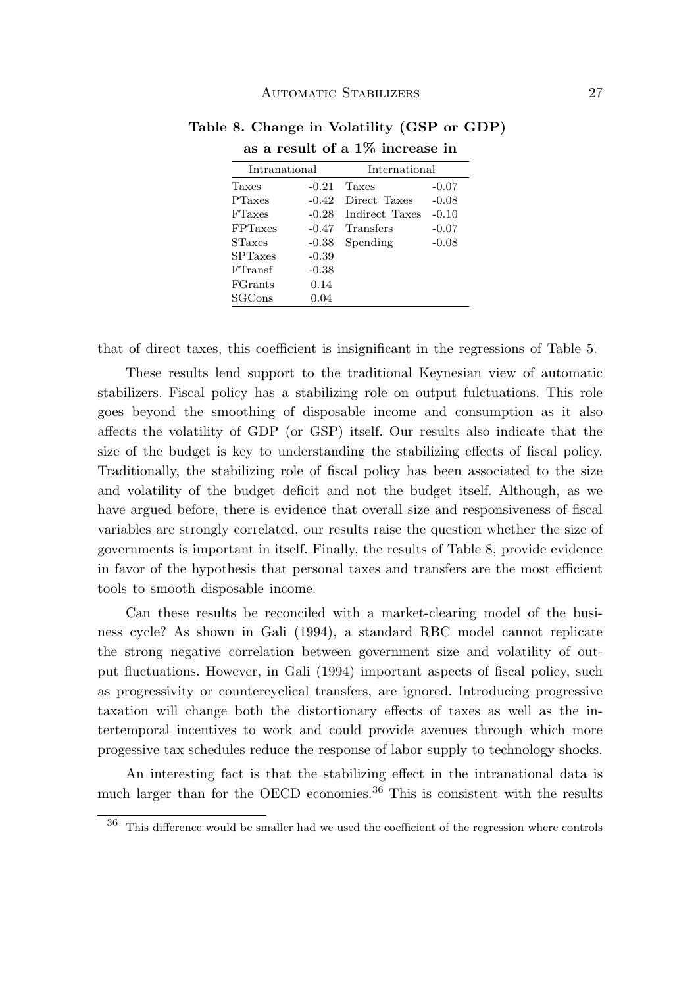| Intranational   |         | International  |         |  |  |
|-----------------|---------|----------------|---------|--|--|
| Taxes           | $-0.21$ | Taxes          | $-0.07$ |  |  |
| <b>PTaxes</b>   | $-0.42$ | Direct Taxes   | $-0.08$ |  |  |
| <b>F</b> Taxes  | $-0.28$ | Indirect Taxes | $-0.10$ |  |  |
| <b>FPTaxes</b>  | $-0.47$ | Transfers      | $-0.07$ |  |  |
| <b>STaxes</b>   | $-0.38$ | Spending       | $-0.08$ |  |  |
| <b>SPTaxes</b>  | $-0.39$ |                |         |  |  |
| <b>F</b> Transf | $-0.38$ |                |         |  |  |
| <b>FGrants</b>  | 0.14    |                |         |  |  |
| SGCons          | 0.04    |                |         |  |  |

| Table 8. Change in Volatility (GSP or GDP) |  |
|--------------------------------------------|--|
| as a result of a $1\%$ increase in         |  |

that of direct taxes, this coefficient is insignificant in the regressions of Table 5.

These results lend support to the traditional Keynesian view of automatic stabilizers. Fiscal policy has a stabilizing role on output fulctuations. This role goes beyond the smoothing of disposable income and consumption as it also affects the volatility of GDP (or GSP) itself. Our results also indicate that the size of the budget is key to understanding the stabilizing effects of fiscal policy. Traditionally, the stabilizing role of fiscal policy has been associated to the size and volatility of the budget deficit and not the budget itself. Although, as we have argued before, there is evidence that overall size and responsiveness of fiscal variables are strongly correlated, our results raise the question whether the size of governments is important in itself. Finally, the results of Table 8, provide evidence in favor of the hypothesis that personal taxes and transfers are the most efficient tools to smooth disposable income.

Can these results be reconciled with a market-clearing model of the business cycle? As shown in Gali (1994), a standard RBC model cannot replicate the strong negative correlation between government size and volatility of output fluctuations. However, in Gali (1994) important aspects of fiscal policy, such as progressivity or countercyclical transfers, are ignored. Introducing progressive taxation will change both the distortionary effects of taxes as well as the intertemporal incentives to work and could provide avenues through which more progessive tax schedules reduce the response of labor supply to technology shocks.

An interesting fact is that the stabilizing effect in the intranational data is much larger than for the OECD economies.<sup>36</sup> This is consistent with the results

<sup>36</sup> This difference would be smaller had we used the coefficient of the regression where controls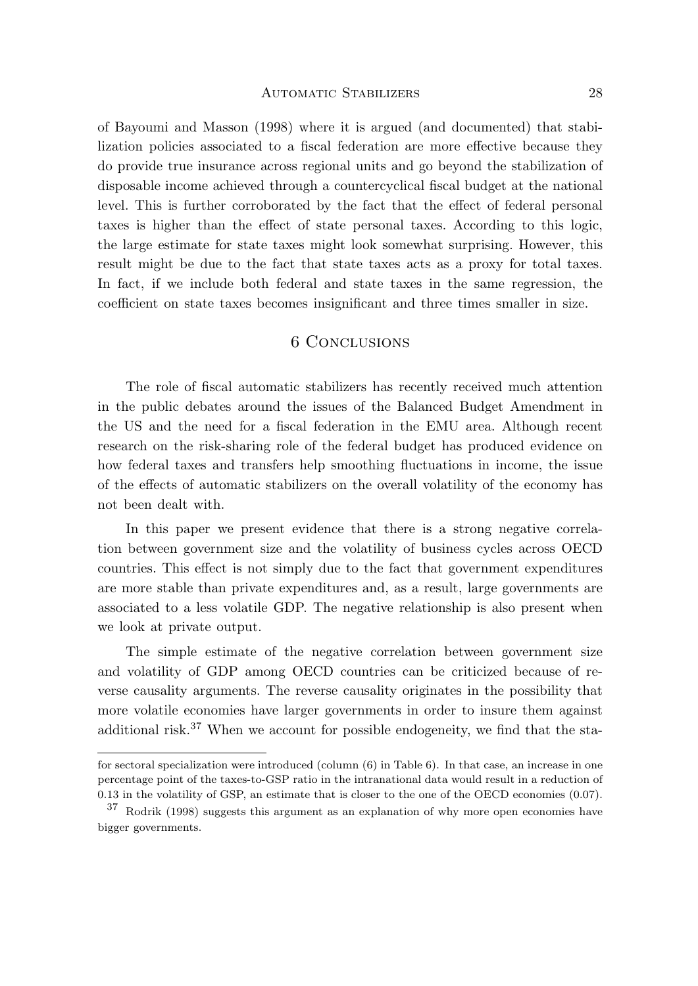of Bayoumi and Masson (1998) where it is argued (and documented) that stabilization policies associated to a fiscal federation are more effective because they do provide true insurance across regional units and go beyond the stabilization of disposable income achieved through a countercyclical fiscal budget at the national level. This is further corroborated by the fact that the effect of federal personal taxes is higher than the effect of state personal taxes. According to this logic, the large estimate for state taxes might look somewhat surprising. However, this result might be due to the fact that state taxes acts as a proxy for total taxes. In fact, if we include both federal and state taxes in the same regression, the coefficient on state taxes becomes insignificant and three times smaller in size.

# 6 Conclusions

The role of fiscal automatic stabilizers has recently received much attention in the public debates around the issues of the Balanced Budget Amendment in the US and the need for a fiscal federation in the EMU area. Although recent research on the risk-sharing role of the federal budget has produced evidence on how federal taxes and transfers help smoothing fluctuations in income, the issue of the effects of automatic stabilizers on the overall volatility of the economy has not been dealt with.

In this paper we present evidence that there is a strong negative correlation between government size and the volatility of business cycles across OECD countries. This effect is not simply due to the fact that government expenditures are more stable than private expenditures and, as a result, large governments are associated to a less volatile GDP. The negative relationship is also present when we look at private output.

The simple estimate of the negative correlation between government size and volatility of GDP among OECD countries can be criticized because of reverse causality arguments. The reverse causality originates in the possibility that more volatile economies have larger governments in order to insure them against additional risk.<sup>37</sup> When we account for possible endogeneity, we find that the sta-

for sectoral specialization were introduced (column (6) in Table 6). In that case, an increase in one percentage point of the taxes-to-GSP ratio in the intranational data would result in a reduction of 0.13 in the volatility of GSP, an estimate that is closer to the one of the OECD economies (0.07).

<sup>37</sup> Rodrik (1998) suggests this argument as an explanation of why more open economies have bigger governments.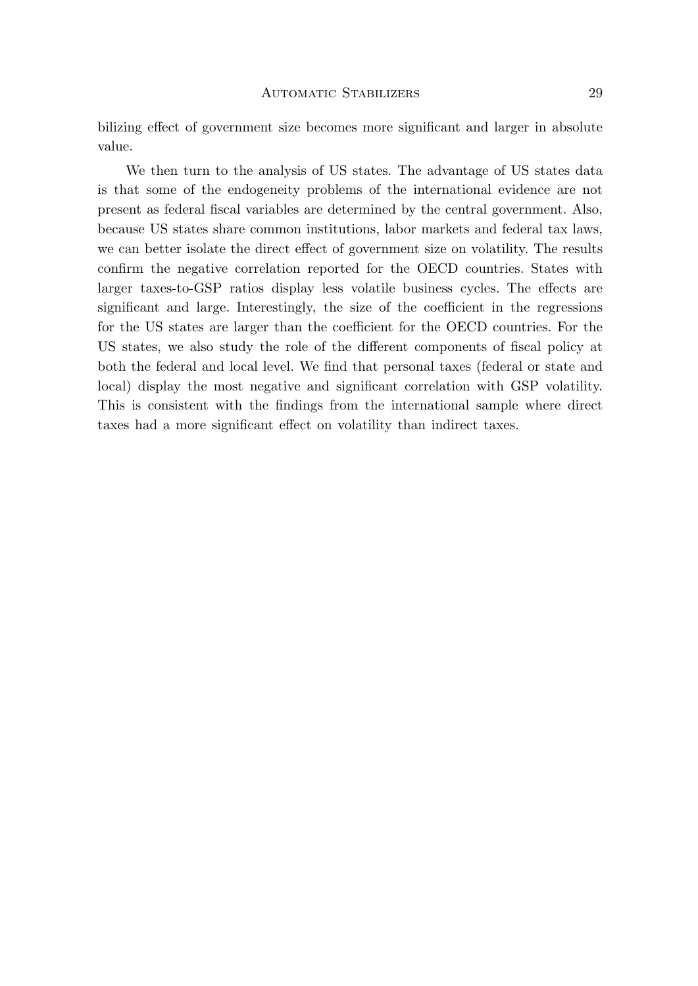bilizing effect of government size becomes more significant and larger in absolute value.

We then turn to the analysis of US states. The advantage of US states data is that some of the endogeneity problems of the international evidence are not present as federal fiscal variables are determined by the central government. Also, because US states share common institutions, labor markets and federal tax laws, we can better isolate the direct effect of government size on volatility. The results confirm the negative correlation reported for the OECD countries. States with larger taxes-to-GSP ratios display less volatile business cycles. The effects are significant and large. Interestingly, the size of the coefficient in the regressions for the US states are larger than the coefficient for the OECD countries. For the US states, we also study the role of the different components of fiscal policy at both the federal and local level. We find that personal taxes (federal or state and local) display the most negative and significant correlation with GSP volatility. This is consistent with the findings from the international sample where direct taxes had a more significant effect on volatility than indirect taxes.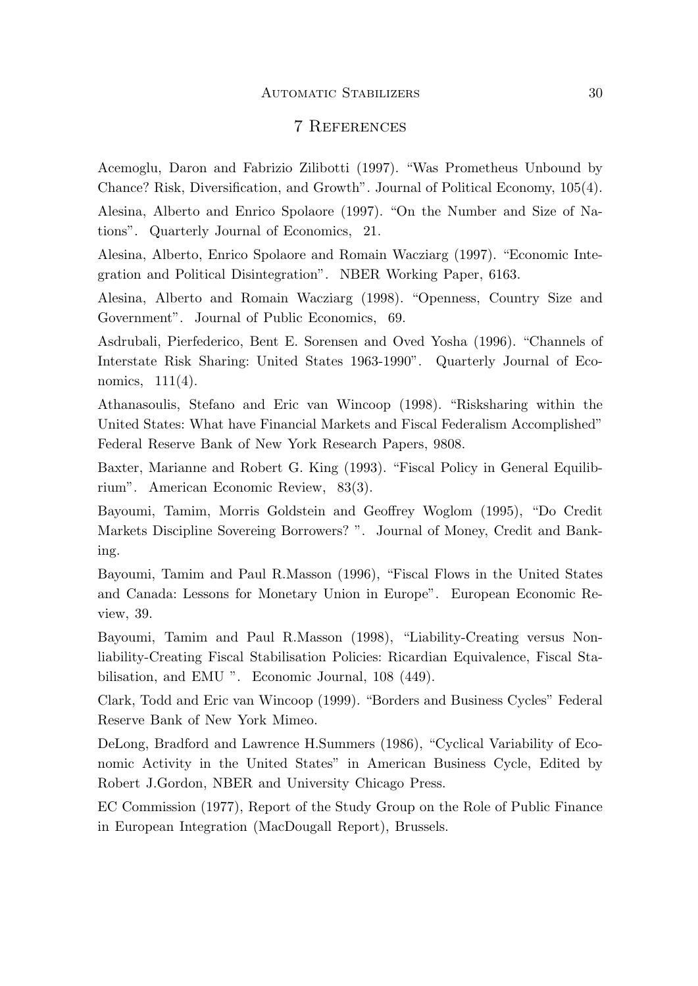# 7 References

Acemoglu, Daron and Fabrizio Zilibotti (1997). "Was Prometheus Unbound by Chance? Risk, Diversification, and Growth". Journal of Political Economy, 105(4).

Alesina, Alberto and Enrico Spolaore (1997). "On the Number and Size of Nations". Quarterly Journal of Economics, 21.

Alesina, Alberto, Enrico Spolaore and Romain Wacziarg (1997). "Economic Integration and Political Disintegration". NBER Working Paper, 6163.

Alesina, Alberto and Romain Wacziarg (1998). "Openness, Country Size and Government". Journal of Public Economics, 69.

Asdrubali, Pierfederico, Bent E. Sorensen and Oved Yosha (1996). "Channels of Interstate Risk Sharing: United States 1963-1990". Quarterly Journal of Economics, 111(4).

Athanasoulis, Stefano and Eric van Wincoop (1998). "Risksharing within the United States: What have Financial Markets and Fiscal Federalism Accomplished" Federal Reserve Bank of New York Research Papers, 9808.

Baxter, Marianne and Robert G. King (1993). "Fiscal Policy in General Equilibrium". American Economic Review, 83(3).

Bayoumi, Tamim, Morris Goldstein and Geoffrey Woglom (1995), "Do Credit Markets Discipline Sovereing Borrowers? ". Journal of Money, Credit and Banking.

Bayoumi, Tamim and Paul R.Masson (1996), "Fiscal Flows in the United States and Canada: Lessons for Monetary Union in Europe". European Economic Review, 39.

Bayoumi, Tamim and Paul R.Masson (1998), "Liability-Creating versus Nonliability-Creating Fiscal Stabilisation Policies: Ricardian Equivalence, Fiscal Stabilisation, and EMU ". Economic Journal, 108 (449).

Clark, Todd and Eric van Wincoop (1999). "Borders and Business Cycles" Federal Reserve Bank of New York Mimeo.

DeLong, Bradford and Lawrence H.Summers (1986), "Cyclical Variability of Economic Activity in the United States" in American Business Cycle, Edited by Robert J.Gordon, NBER and University Chicago Press.

EC Commission (1977), Report of the Study Group on the Role of Public Finance in European Integration (MacDougall Report), Brussels.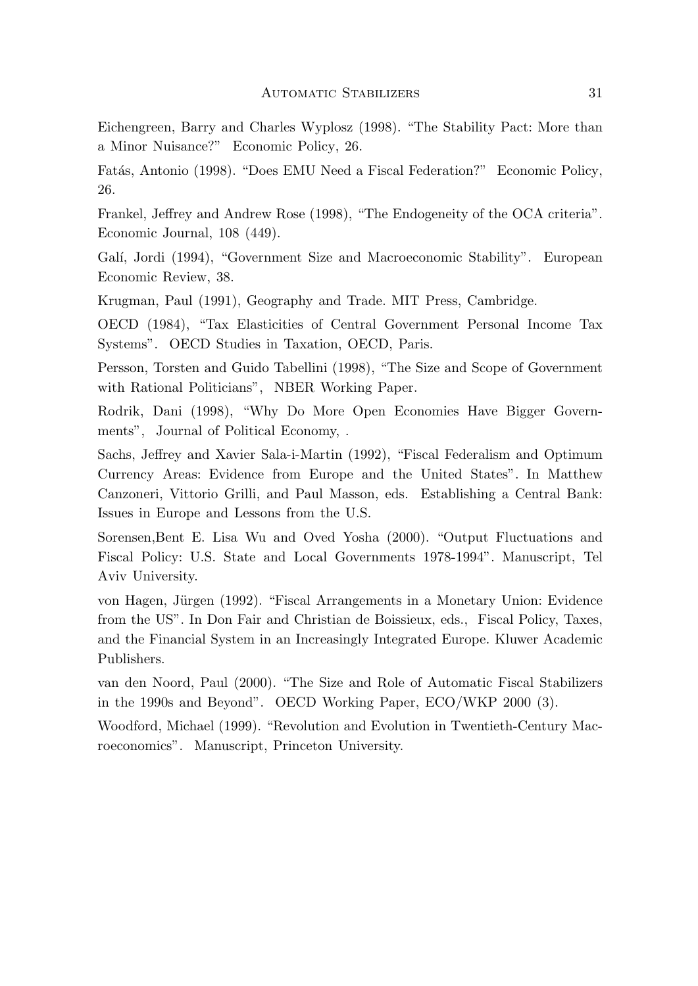Eichengreen, Barry and Charles Wyplosz (1998). "The Stability Pact: More than a Minor Nuisance?" Economic Policy, 26.

Fatás, Antonio (1998). "Does EMU Need a Fiscal Federation?" Economic Policy, 26.

Frankel, Jeffrey and Andrew Rose (1998), "The Endogeneity of the OCA criteria". Economic Journal, 108 (449).

Galí, Jordi (1994), "Government Size and Macroeconomic Stability". European Economic Review, 38.

Krugman, Paul (1991), Geography and Trade. MIT Press, Cambridge.

OECD (1984), "Tax Elasticities of Central Government Personal Income Tax Systems". OECD Studies in Taxation, OECD, Paris.

Persson, Torsten and Guido Tabellini (1998), "The Size and Scope of Government with Rational Politicians", NBER Working Paper.

Rodrik, Dani (1998), "Why Do More Open Economies Have Bigger Governments", Journal of Political Economy, .

Sachs, Jeffrey and Xavier Sala-i-Martin (1992), "Fiscal Federalism and Optimum Currency Areas: Evidence from Europe and the United States". In Matthew Canzoneri, Vittorio Grilli, and Paul Masson, eds. Establishing a Central Bank: Issues in Europe and Lessons from the U.S.

Sorensen,Bent E. Lisa Wu and Oved Yosha (2000). "Output Fluctuations and Fiscal Policy: U.S. State and Local Governments 1978-1994". Manuscript, Tel Aviv University.

von Hagen, Jürgen (1992). "Fiscal Arrangements in a Monetary Union: Evidence from the US". In Don Fair and Christian de Boissieux, eds., Fiscal Policy, Taxes, and the Financial System in an Increasingly Integrated Europe. Kluwer Academic Publishers.

van den Noord, Paul (2000). "The Size and Role of Automatic Fiscal Stabilizers in the 1990s and Beyond". OECD Working Paper, ECO/WKP 2000 (3).

Woodford, Michael (1999). "Revolution and Evolution in Twentieth-Century Macroeconomics". Manuscript, Princeton University.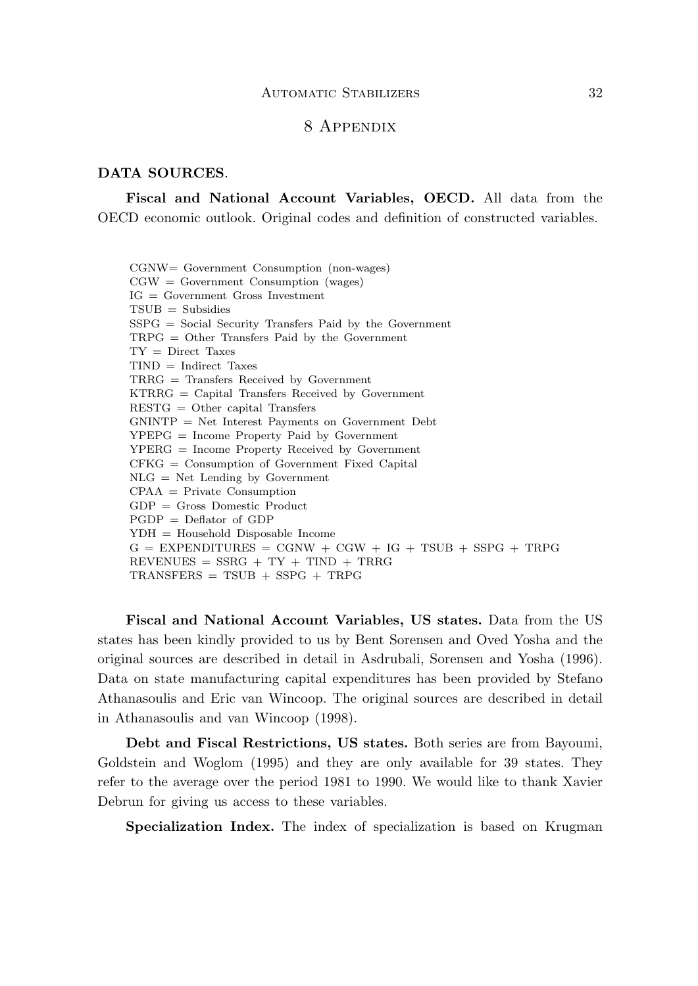# 8 Appendix

## DATA SOURCES.

Fiscal and National Account Variables, OECD. All data from the OECD economic outlook. Original codes and definition of constructed variables.

CGNW= Government Consumption (non-wages)  $CGW = Government Consumption (wages)$ IG = Government Gross Investment TSUB = Subsidies SSPG = Social Security Transfers Paid by the Government TRPG = Other Transfers Paid by the Government TY = Direct Taxes TIND = Indirect Taxes TRRG = Transfers Received by Government KTRRG = Capital Transfers Received by Government RESTG = Other capital Transfers GNINTP = Net Interest Payments on Government Debt YPEPG = Income Property Paid by Government YPERG = Income Property Received by Government CFKG = Consumption of Government Fixed Capital NLG = Net Lending by Government CPAA = Private Consumption  $GDP = Gross$  Domestic Product PGDP = Deflator of GDP YDH = Household Disposable Income  $G = EXPENDITURES = CGNW + CGW + IG + TSUB + SSPG + TRPG$  $REVENUES = SSRG + TY + TIND + TRRG$  $TRANSFERS = TSUB + SSPG + TRPG$ 

Fiscal and National Account Variables, US states. Data from the US states has been kindly provided to us by Bent Sorensen and Oved Yosha and the original sources are described in detail in Asdrubali, Sorensen and Yosha (1996). Data on state manufacturing capital expenditures has been provided by Stefano Athanasoulis and Eric van Wincoop. The original sources are described in detail in Athanasoulis and van Wincoop (1998).

Debt and Fiscal Restrictions, US states. Both series are from Bayoumi, Goldstein and Woglom (1995) and they are only available for 39 states. They refer to the average over the period 1981 to 1990. We would like to thank Xavier Debrun for giving us access to these variables.

Specialization Index. The index of specialization is based on Krugman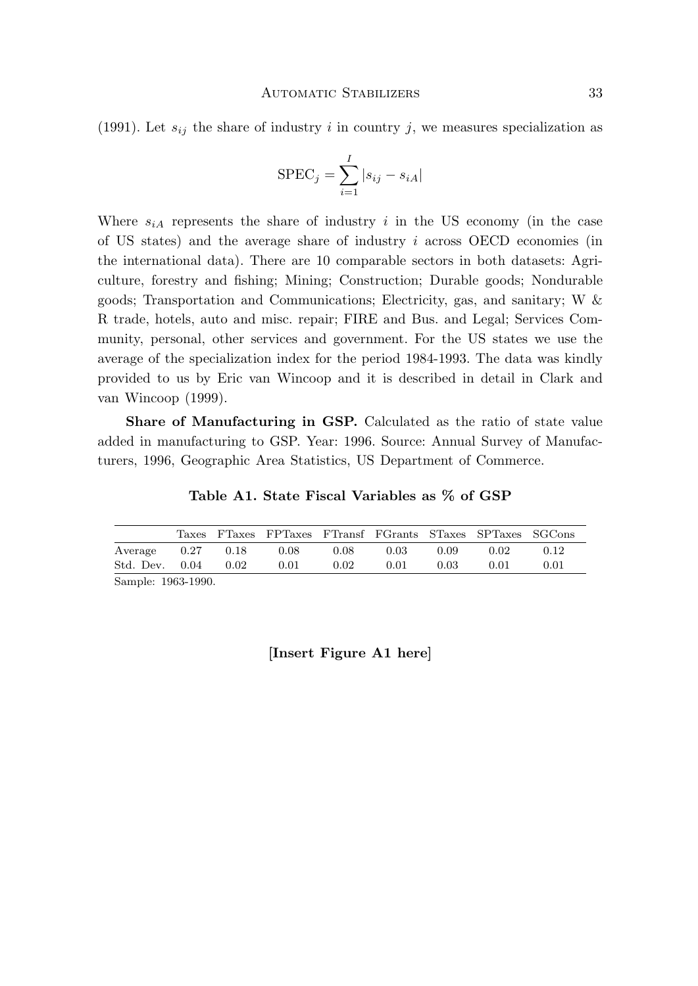(1991). Let  $s_{ij}$  the share of industry i in country j, we measures specialization as

$$
SPEC_j = \sum_{i=1}^{I} |s_{ij} - s_{iA}|
$$

Where  $s_{iA}$  represents the share of industry i in the US economy (in the case of US states) and the average share of industry i across OECD economies (in the international data). There are 10 comparable sectors in both datasets: Agriculture, forestry and fishing; Mining; Construction; Durable goods; Nondurable goods; Transportation and Communications; Electricity, gas, and sanitary; W & R trade, hotels, auto and misc. repair; FIRE and Bus. and Legal; Services Community, personal, other services and government. For the US states we use the average of the specialization index for the period 1984-1993. The data was kindly provided to us by Eric van Wincoop and it is described in detail in Clark and van Wincoop (1999).

Share of Manufacturing in GSP. Calculated as the ratio of state value added in manufacturing to GSP. Year: 1996. Source: Annual Survey of Manufacturers, 1996, Geographic Area Statistics, US Department of Commerce.

|  |  |  | Table A1. State Fiscal Variables as % of GSP |  |  |  |  |
|--|--|--|----------------------------------------------|--|--|--|--|
|--|--|--|----------------------------------------------|--|--|--|--|

|                     |  |      | Taxes FTaxes FPTaxes FTransf FGrants STaxes SPTaxes SGCons |      |      |      |      |      |
|---------------------|--|------|------------------------------------------------------------|------|------|------|------|------|
| Average $0.27$ 0.18 |  |      | 0.08                                                       | 0.08 | 0.03 | 0.09 | 0.02 | 0.12 |
| Std. Dev. 0.04      |  | 0.02 | 0.01                                                       | 0.02 | 0.01 | 0.03 | 0.01 | 0.01 |
| Sample: 1963-1990.  |  |      |                                                            |      |      |      |      |      |

[Insert Figure A1 here]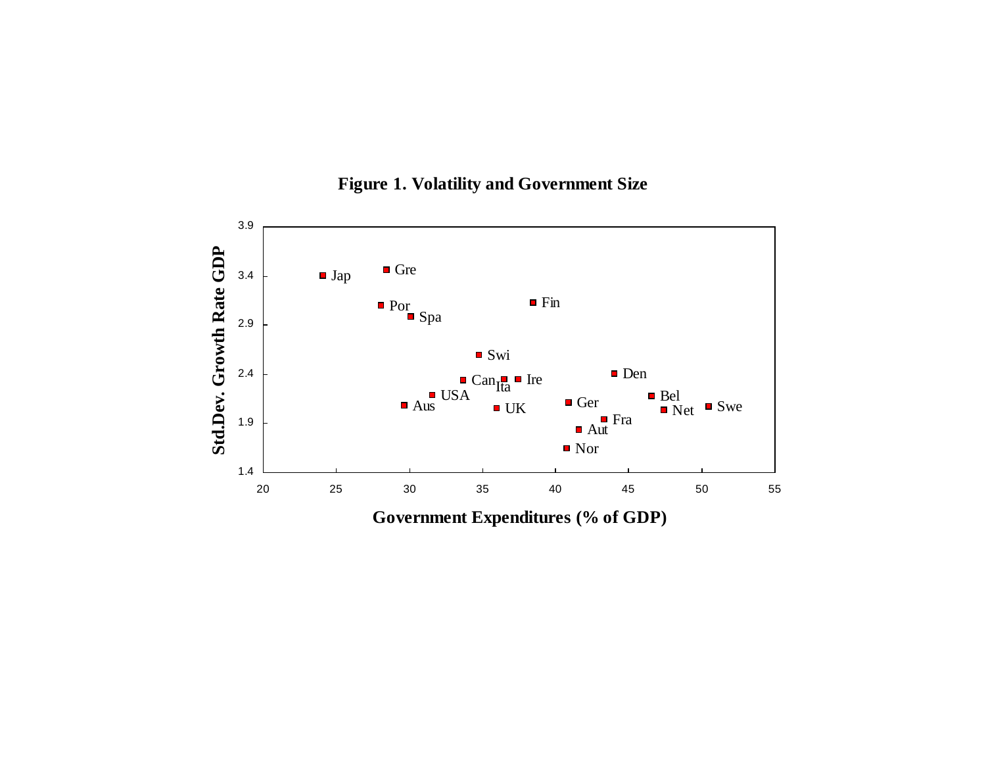# **Figure 1. Volatility and Government Size**

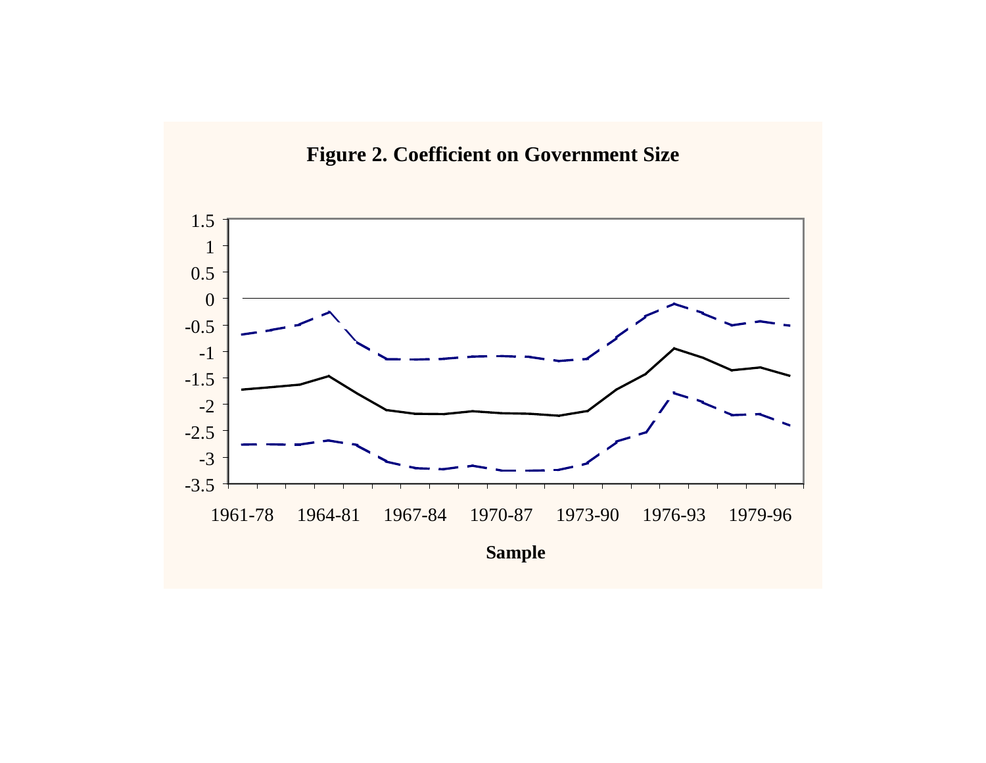# **Figure 2. Coefficient on Government Size**

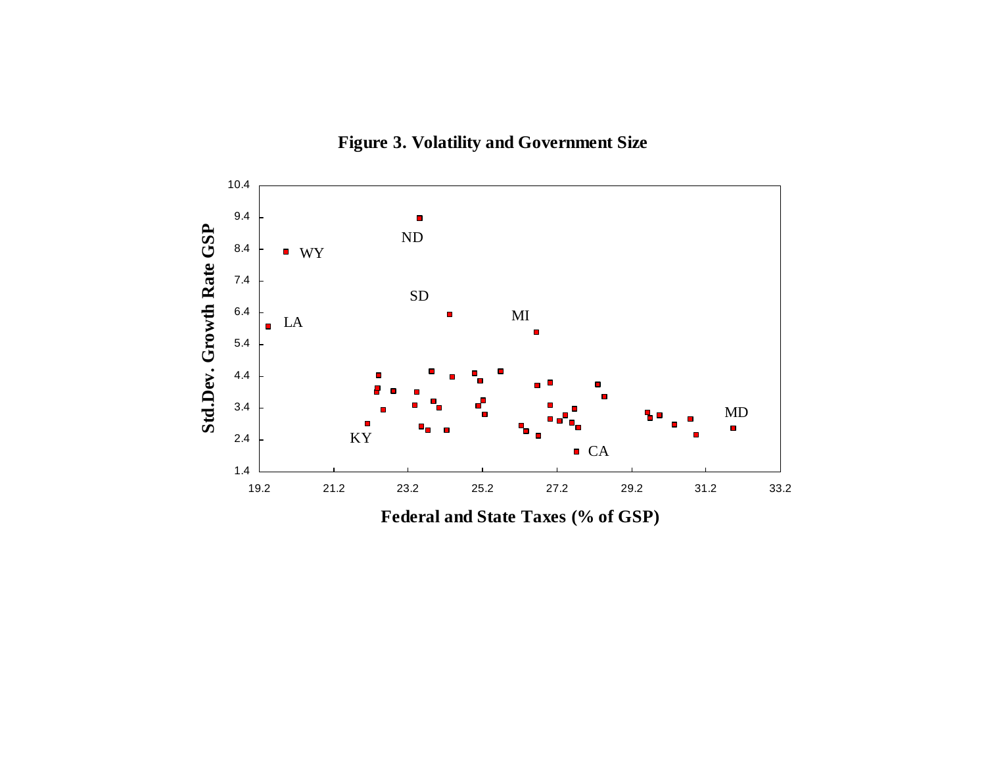

# **Figure 3. Volatility and Government Size**

**Federal and State Taxes (% of GSP)**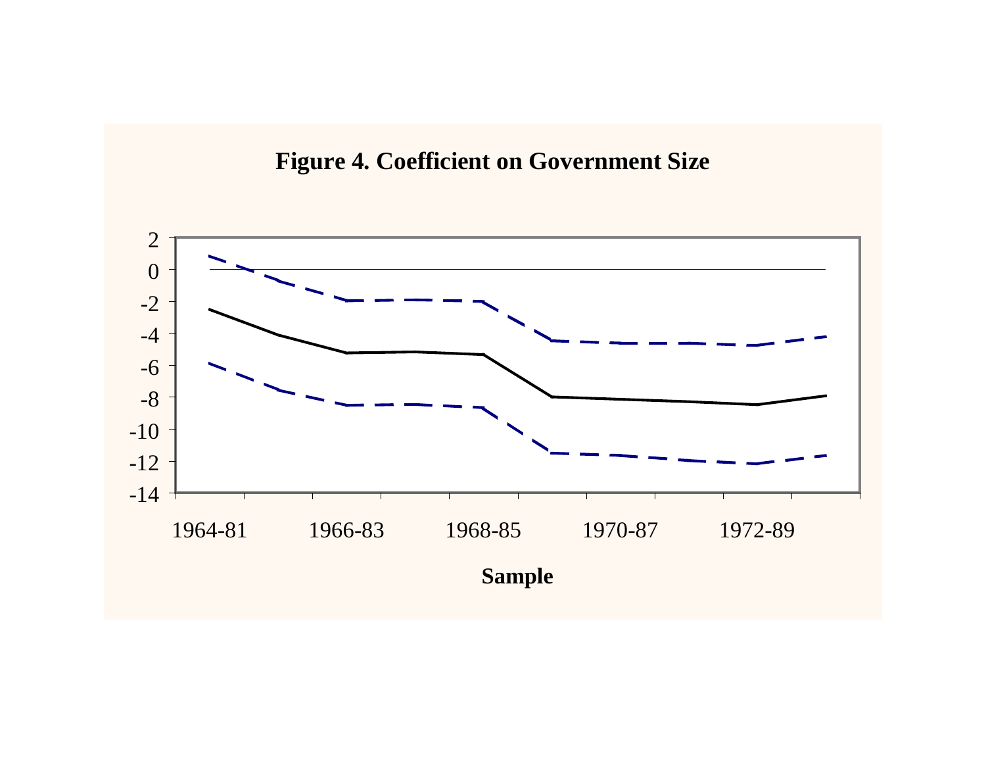

**Figure 4. Coefficient on Government Size**